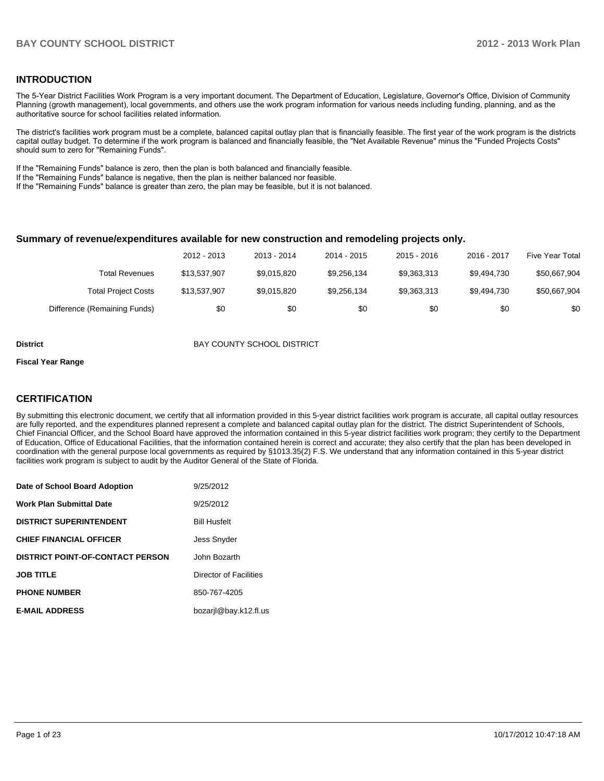#### **INTRODUCTION**

The 5-Year District Facilities Work Program is a very important document. The Department of Education, Legislature, Governor's Office, Division of Community Planning (growth management), local governments, and others use the work program information for various needs including funding, planning, and as the authoritative source for school facilities related information.

The district's facilities work program must be a complete, balanced capital outlay plan that is financially feasible. The first year of the work program is the districts capital outlay budget. To determine if the work program is balanced and financially feasible, the "Net Available Revenue" minus the "Funded Projects Costs" should sum to zero for "Remaining Funds".

If the "Remaining Funds" balance is zero, then the plan is both balanced and financially feasible.

If the "Remaining Funds" balance is negative, then the plan is neither balanced nor feasible.

If the "Remaining Funds" balance is greater than zero, the plan may be feasible, but it is not balanced.

#### **Summary of revenue/expenditures available for new construction and remodeling projects only.**

|                              | 2012 - 2013  | 2013 - 2014 | 2014 - 2015 | $2015 - 2016$ | 2016 - 2017 | <b>Five Year Total</b> |
|------------------------------|--------------|-------------|-------------|---------------|-------------|------------------------|
| Total Revenues               | \$13.537.907 | \$9.015.820 | \$9.256.134 | \$9.363.313   | \$9.494.730 | \$50,667,904           |
| <b>Total Project Costs</b>   | \$13,537,907 | \$9,015,820 | \$9,256,134 | \$9.363.313   | \$9.494.730 | \$50,667,904           |
| Difference (Remaining Funds) | \$0          | \$0         | \$0         | \$0           | \$0         | \$0                    |

**District District BAY COUNTY SCHOOL DISTRICT** 

#### **Fiscal Year Range**

#### **CERTIFICATION**

By submitting this electronic document, we certify that all information provided in this 5-year district facilities work program is accurate, all capital outlay resources are fully reported, and the expenditures planned represent a complete and balanced capital outlay plan for the district. The district Superintendent of Schools, Chief Financial Officer, and the School Board have approved the information contained in this 5-year district facilities work program; they certify to the Department of Education, Office of Educational Facilities, that the information contained herein is correct and accurate; they also certify that the plan has been developed in coordination with the general purpose local governments as required by §1013.35(2) F.S. We understand that any information contained in this 5-year district facilities work program is subject to audit by the Auditor General of the State of Florida.

| Date of School Board Adoption           | 9/25/2012              |
|-----------------------------------------|------------------------|
| <b>Work Plan Submittal Date</b>         | 9/25/2012              |
| <b>DISTRICT SUPERINTENDENT</b>          | <b>Bill Husfelt</b>    |
| <b>CHIEF FINANCIAL OFFICER</b>          | <b>Jess Snyder</b>     |
| <b>DISTRICT POINT-OF-CONTACT PERSON</b> | John Bozarth           |
| <b>JOB TITLE</b>                        | Director of Facilities |
| <b>PHONE NUMBER</b>                     | 850-767-4205           |
| <b>E-MAIL ADDRESS</b>                   | bozarjl@bay.k12.fl.us  |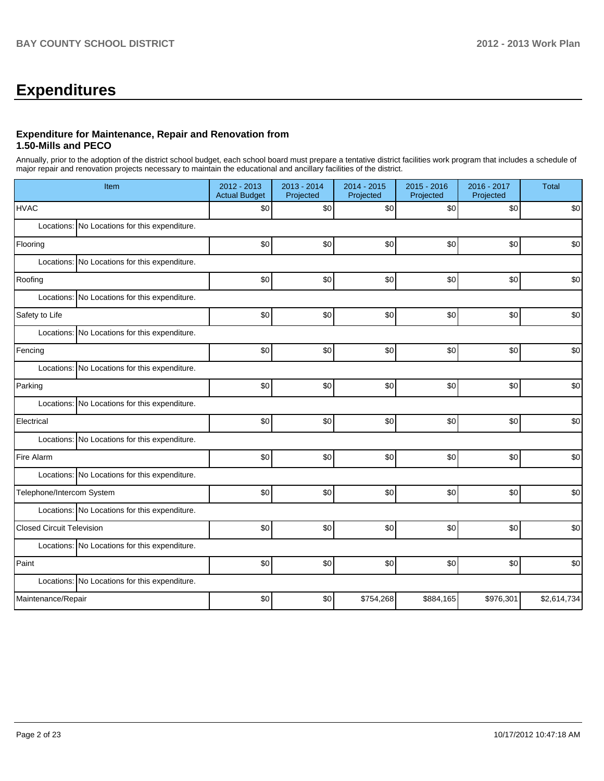# **Expenditures**

#### **Expenditure for Maintenance, Repair and Renovation from 1.50-Mills and PECO**

Annually, prior to the adoption of the district school budget, each school board must prepare a tentative district facilities work program that includes a schedule of major repair and renovation projects necessary to maintain the educational and ancillary facilities of the district.

| Item                                          | 2012 - 2013<br><b>Actual Budget</b> | 2013 - 2014<br>Projected | 2014 - 2015<br>Projected | 2015 - 2016<br>Projected | $2016 - 2017$<br>Projected | <b>Total</b> |  |  |  |  |  |
|-----------------------------------------------|-------------------------------------|--------------------------|--------------------------|--------------------------|----------------------------|--------------|--|--|--|--|--|
| <b>HVAC</b>                                   | \$0                                 | \$0                      | \$0                      | \$0                      | \$0                        | \$0          |  |  |  |  |  |
| Locations: No Locations for this expenditure. |                                     |                          |                          |                          |                            |              |  |  |  |  |  |
| Flooring                                      | \$0                                 | \$0                      | \$0                      | \$0                      | \$0                        | \$0          |  |  |  |  |  |
| Locations: No Locations for this expenditure. |                                     |                          |                          |                          |                            |              |  |  |  |  |  |
| Roofing                                       | \$0                                 | \$0                      | \$0                      | \$0                      | \$0                        | \$0          |  |  |  |  |  |
| Locations: No Locations for this expenditure. |                                     |                          |                          |                          |                            |              |  |  |  |  |  |
| Safety to Life                                | \$0                                 | \$0                      | \$0                      | \$0                      | \$0                        | \$0          |  |  |  |  |  |
| Locations: No Locations for this expenditure. |                                     |                          |                          |                          |                            |              |  |  |  |  |  |
| Fencing                                       | \$0                                 | \$0                      | \$0                      | \$0                      | \$0                        | \$0          |  |  |  |  |  |
| Locations: No Locations for this expenditure. |                                     |                          |                          |                          |                            |              |  |  |  |  |  |
| Parking                                       | \$0                                 | \$0                      | \$0                      | \$0                      | \$0                        | \$0          |  |  |  |  |  |
| Locations: No Locations for this expenditure. |                                     |                          |                          |                          |                            |              |  |  |  |  |  |
| Electrical                                    | \$0                                 | \$0                      | \$0                      | \$0                      | \$0                        | \$0          |  |  |  |  |  |
| Locations: No Locations for this expenditure. |                                     |                          |                          |                          |                            |              |  |  |  |  |  |
| Fire Alarm                                    | \$0                                 | \$0                      | \$0                      | \$0                      | \$0                        | \$0          |  |  |  |  |  |
| Locations: No Locations for this expenditure. |                                     |                          |                          |                          |                            |              |  |  |  |  |  |
| Telephone/Intercom System                     | \$0                                 | \$0                      | \$0                      | \$0                      | \$0                        | \$0          |  |  |  |  |  |
| Locations: No Locations for this expenditure. |                                     |                          |                          |                          |                            |              |  |  |  |  |  |
| <b>Closed Circuit Television</b>              | \$0                                 | \$0                      | \$0                      | \$0                      | \$0                        | \$0          |  |  |  |  |  |
| Locations: No Locations for this expenditure. |                                     |                          |                          |                          |                            |              |  |  |  |  |  |
| Paint                                         | \$0                                 | \$0                      | \$0                      | \$0                      | \$0                        | \$0          |  |  |  |  |  |
| Locations: No Locations for this expenditure. |                                     |                          |                          |                          |                            |              |  |  |  |  |  |
| Maintenance/Repair                            | \$0                                 | \$0                      | \$754,268                | \$884,165                | \$976,301                  | \$2,614,734  |  |  |  |  |  |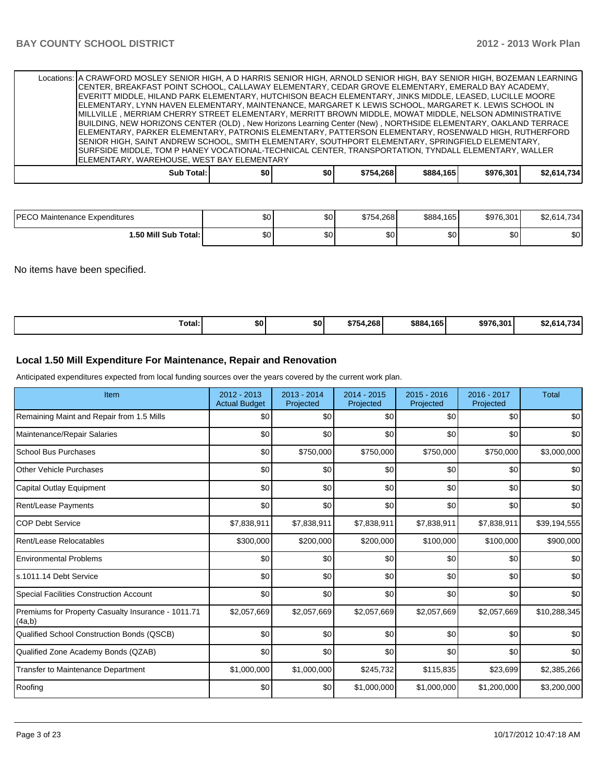|                                            | Locations: A CRAWFORD MOSLEY SENIOR HIGH, A D HARRIS SENIOR HIGH, ARNOLD SENIOR HIGH, BAY SENIOR HIGH, BOZEMAN LEARNING |     |     |           |           |           |             |  |  |
|--------------------------------------------|-------------------------------------------------------------------------------------------------------------------------|-----|-----|-----------|-----------|-----------|-------------|--|--|
|                                            | CENTER, BREAKFAST POINT SCHOOL, CALLAWAY ELEMENTARY, CEDAR GROVE ELEMENTARY, EMERALD BAY ACADEMY,                       |     |     |           |           |           |             |  |  |
|                                            | EVERITT MIDDLE, HILAND PARK ELEMENTARY, HUTCHISON BEACH ELEMENTARY, JINKS MIDDLE, LEASED, LUCILLE MOORE                 |     |     |           |           |           |             |  |  |
|                                            | ELEMENTARY, LYNN HAVEN ELEMENTARY, MAINTENANCE, MARGARET K LEWIS SCHOOL, MARGARET K. LEWIS SCHOOL IN                    |     |     |           |           |           |             |  |  |
|                                            | MILLVILLE , MERRIAM CHERRY STREET ELEMENTARY, MERRITT BROWN MIDDLE, MOWAT MIDDLE, NELSON ADMINISTRATIVE                 |     |     |           |           |           |             |  |  |
|                                            | BUILDING, NEW HORIZONS CENTER (OLD), New Horizons Learning Center (New), NORTHSIDE ELEMENTARY, OAKLAND TERRACE          |     |     |           |           |           |             |  |  |
|                                            | ELEMENTARY, PARKER ELEMENTARY, PATRONIS ELEMENTARY, PATTERSON ELEMENTARY, ROSENWALD HIGH, RUTHERFORD                    |     |     |           |           |           |             |  |  |
|                                            | SENIOR HIGH, SAINT ANDREW SCHOOL, SMITH ELEMENTARY, SOUTHPORT ELEMENTARY, SPRINGFIELD ELEMENTARY,                       |     |     |           |           |           |             |  |  |
|                                            | SURFSIDE MIDDLE, TOM P HANEY VOCATIONAL-TECHNICAL CENTER, TRANSPORTATION, TYNDALL ELEMENTARY, WALLER                    |     |     |           |           |           |             |  |  |
| ELEMENTARY, WAREHOUSE, WEST BAY ELEMENTARY |                                                                                                                         |     |     |           |           |           |             |  |  |
|                                            | Sub Total:                                                                                                              | \$0 | \$0 | \$754.268 | \$884,165 | \$976.301 | \$2.614.734 |  |  |

| <b>IPECO Maintenance Expenditures</b> | ሖ<br>Ψ  | $\sim$<br>w | \$754.268 | \$884<br>165 | \$976,301 | 4.734<br>$\sim$ $\sim$<br>$\bf{u}$<br>ויט⊾∠ |
|---------------------------------------|---------|-------------|-----------|--------------|-----------|---------------------------------------------|
| 1.50 Mill Sub Total:                  | ሖ<br>ΦU | $\sim$<br>w | ሶሳ<br>ΦU  | ሶስ<br>ושב    | ሖ<br>ພບ   | \$0                                         |

No items have been specified.

| Total: | <b>SO!</b> | \$0 | \$754.268 | \$884.165 | \$976,301 | $ -$<br>ሖ<br>$\overline{\phantom{a}}$<br>32.614.734 |
|--------|------------|-----|-----------|-----------|-----------|-----------------------------------------------------|
|--------|------------|-----|-----------|-----------|-----------|-----------------------------------------------------|

#### **Local 1.50 Mill Expenditure For Maintenance, Repair and Renovation**

Anticipated expenditures expected from local funding sources over the years covered by the current work plan.

| Item                                                         | 2012 - 2013<br><b>Actual Budget</b> | $2013 - 2014$<br>Projected | $2014 - 2015$<br>Projected | 2015 - 2016<br>Projected | 2016 - 2017<br>Projected | <b>Total</b> |
|--------------------------------------------------------------|-------------------------------------|----------------------------|----------------------------|--------------------------|--------------------------|--------------|
| Remaining Maint and Repair from 1.5 Mills                    | \$0                                 | \$0                        | \$0                        | \$0                      | \$0                      | \$0          |
| Maintenance/Repair Salaries                                  | \$0                                 | \$0                        | \$0                        | \$0                      | \$0                      | \$0          |
| <b>School Bus Purchases</b>                                  | \$0                                 | \$750,000                  | \$750,000                  | \$750,000                | \$750,000                | \$3,000,000  |
| <b>Other Vehicle Purchases</b>                               | \$0                                 | \$0                        | \$0                        | \$0                      | \$0                      | \$0          |
| Capital Outlay Equipment                                     | \$0                                 | \$0                        | \$0                        | \$0                      | \$0                      | \$0          |
| Rent/Lease Payments                                          | \$0                                 | \$0                        | \$0                        | \$0                      | \$0                      | \$0          |
| <b>COP Debt Service</b>                                      | \$7,838,911                         | \$7,838,911                | \$7,838,911                | \$7,838,911              | \$7,838,911              | \$39,194,555 |
| Rent/Lease Relocatables                                      | \$300,000                           | \$200,000                  | \$200,000                  | \$100,000                | \$100,000                | \$900,000    |
| <b>Environmental Problems</b>                                | \$0                                 | \$0                        | \$0                        | \$0                      | \$0                      | \$0          |
| ls.1011.14 Debt Service                                      | \$0                                 | \$0                        | \$0                        | \$0                      | \$0                      | \$0          |
| <b>Special Facilities Construction Account</b>               | \$0                                 | \$0                        | \$0                        | \$0                      | \$0                      | \$0          |
| Premiums for Property Casualty Insurance - 1011.71<br>(4a,b) | \$2,057,669                         | \$2,057,669                | \$2,057,669                | \$2,057,669              | \$2,057,669              | \$10,288,345 |
| Qualified School Construction Bonds (QSCB)                   | \$0                                 | \$0                        | \$0                        | \$0                      | \$0                      | \$0          |
| Qualified Zone Academy Bonds (QZAB)                          | \$0                                 | \$0                        | \$0                        | \$0                      | \$0                      | \$0          |
| <b>Transfer to Maintenance Department</b>                    | \$1,000,000                         | \$1,000,000                | \$245,732                  | \$115,835                | \$23,699                 | \$2,385,266  |
| Roofing                                                      | \$0                                 | \$0                        | \$1,000,000                | \$1,000,000              | \$1,200,000              | \$3,200,000  |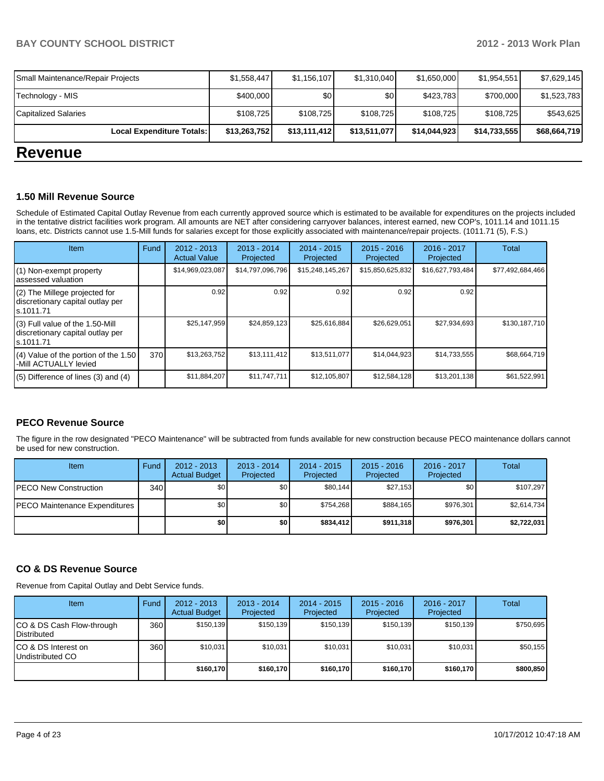| Local Expenditure Totals:         | \$13,263,752 | \$13,111,412 | \$13,511,077 | \$14,044,923 | \$14,733,555 | \$68,664,719 |
|-----------------------------------|--------------|--------------|--------------|--------------|--------------|--------------|
| <b>Capitalized Salaries</b>       | \$108,725    | \$108,725    | \$108,725    | \$108,725    | \$108.725    | \$543,625    |
| Technology - MIS                  | \$400,000    | \$0          | \$0          | \$423,783    | \$700,000    | \$1,523,783  |
| Small Maintenance/Repair Projects | \$1,558,447  | \$1,156,107  | \$1,310,040  | \$1,650,000  | \$1,954,551  | \$7,629,145  |

## **Revenue**

#### **1.50 Mill Revenue Source**

Schedule of Estimated Capital Outlay Revenue from each currently approved source which is estimated to be available for expenditures on the projects included in the tentative district facilities work program. All amounts are NET after considering carryover balances, interest earned, new COP's, 1011.14 and 1011.15 loans, etc. Districts cannot use 1.5-Mill funds for salaries except for those explicitly associated with maintenance/repair projects. (1011.71 (5), F.S.)

| Item                                                                              | Fund | $2012 - 2013$<br><b>Actual Value</b> | $2013 - 2014$<br>Projected | $2014 - 2015$<br>Projected | $2015 - 2016$<br>Projected | $2016 - 2017$<br>Projected | <b>Total</b>     |
|-----------------------------------------------------------------------------------|------|--------------------------------------|----------------------------|----------------------------|----------------------------|----------------------------|------------------|
| (1) Non-exempt property<br>assessed valuation                                     |      | \$14,969,023,087                     | \$14,797,096,796           | \$15,248,145,267           | \$15,850,625,832           | \$16,627,793,484           | \$77,492,684,466 |
| (2) The Millege projected for<br>discretionary capital outlay per<br>ls.1011.71   |      | 0.92                                 | 0.92                       | 0.92                       | 0.92                       | 0.92                       |                  |
| (3) Full value of the 1.50-Mill<br>discretionary capital outlay per<br>ls.1011.71 |      | \$25,147,959                         | \$24,859,123               | \$25,616,884               | \$26,629,051               | \$27,934,693               | \$130,187,710    |
| (4) Value of the portion of the 1.50<br>-Mill ACTUALLY levied                     | 370  | \$13,263,752                         | \$13,111,412               | \$13,511,077               | \$14,044,923               | \$14,733,555               | \$68,664,719     |
| $(5)$ Difference of lines $(3)$ and $(4)$                                         |      | \$11,884,207                         | \$11,747,711               | \$12,105,807               | \$12,584,128               | \$13,201,138               | \$61,522,991     |

#### **PECO Revenue Source**

The figure in the row designated "PECO Maintenance" will be subtracted from funds available for new construction because PECO maintenance dollars cannot be used for new construction.

| <b>Item</b>                   | Fund | $2012 - 2013$<br><b>Actual Budget</b> | $2013 - 2014$<br>Projected | $2014 - 2015$<br>Projected | $2015 - 2016$<br>Projected | $2016 - 2017$<br>Projected | Total       |
|-------------------------------|------|---------------------------------------|----------------------------|----------------------------|----------------------------|----------------------------|-------------|
| IPECO New Construction        | 340  | \$0 <sub>l</sub>                      | \$0                        | \$80.144                   | \$27.153                   | \$0                        | \$107.297   |
| PECO Maintenance Expenditures |      | \$0                                   | \$0 <sub>1</sub>           | \$754.268                  | \$884.165                  | \$976.301                  | \$2.614.734 |
|                               |      | \$0                                   | \$0                        | \$834.412                  | \$911,318                  | \$976.301                  | \$2,722,031 |

#### **CO & DS Revenue Source**

Revenue from Capital Outlay and Debt Service funds.

| <b>Item</b>                                        | Fund | $2012 - 2013$<br><b>Actual Budget</b> | $2013 - 2014$<br>Projected | $2014 - 2015$<br>Projected | $2015 - 2016$<br>Projected | $2016 - 2017$<br>Projected | Total     |
|----------------------------------------------------|------|---------------------------------------|----------------------------|----------------------------|----------------------------|----------------------------|-----------|
| ICO & DS Cash Flow-through<br><b>I</b> Distributed | 360  | \$150.139                             | \$150.139                  | \$150.139                  | \$150.139                  | \$150.139                  | \$750.695 |
| ICO & DS Interest on<br>Undistributed CO           | 360  | \$10,031                              | \$10,031                   | \$10.031                   | \$10,031                   | \$10,031                   | \$50,155  |
|                                                    |      | \$160,170                             | \$160,170                  | \$160.170                  | \$160,170                  | \$160,170                  | \$800,850 |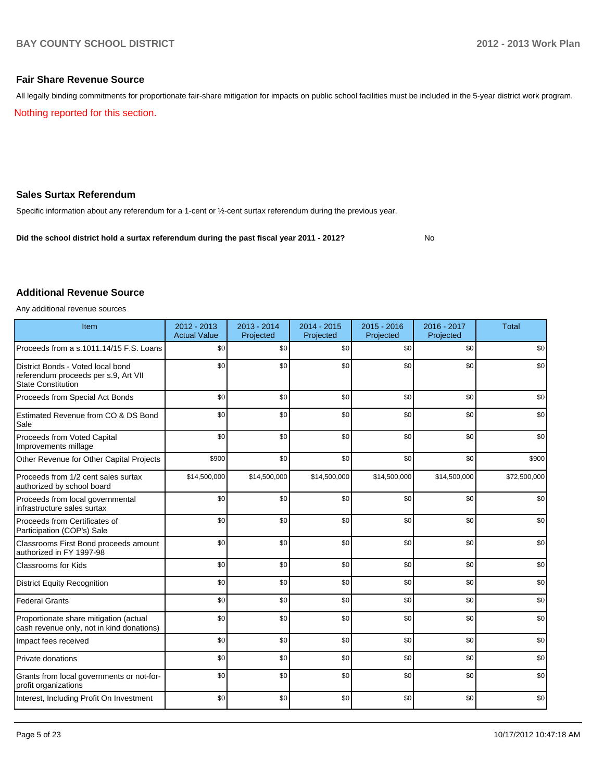No

#### **Fair Share Revenue Source**

Nothing reported for this section. All legally binding commitments for proportionate fair-share mitigation for impacts on public school facilities must be included in the 5-year district work program.

#### **Sales Surtax Referendum**

Specific information about any referendum for a 1-cent or ½-cent surtax referendum during the previous year.

**Did the school district hold a surtax referendum during the past fiscal year 2011 - 2012?**

#### **Additional Revenue Source**

Any additional revenue sources

| Item                                                                                                   | 2012 - 2013<br><b>Actual Value</b> | 2013 - 2014<br>Projected | 2014 - 2015<br>Projected | $2015 - 2016$<br>Projected | 2016 - 2017<br>Projected | <b>Total</b> |
|--------------------------------------------------------------------------------------------------------|------------------------------------|--------------------------|--------------------------|----------------------------|--------------------------|--------------|
| Proceeds from a s.1011.14/15 F.S. Loans                                                                | \$0                                | \$0                      | \$0                      | \$0                        | \$0                      | \$0          |
| District Bonds - Voted local bond<br>referendum proceeds per s.9, Art VII<br><b>State Constitution</b> | \$0                                | \$0                      | \$0                      | \$0                        | \$0                      | \$0          |
| Proceeds from Special Act Bonds                                                                        | \$0                                | \$0                      | \$0                      | \$0                        | \$0                      | \$0          |
| Estimated Revenue from CO & DS Bond<br>Sale                                                            | \$0                                | \$0                      | \$0                      | \$0                        | \$0                      | \$0          |
| Proceeds from Voted Capital<br>Improvements millage                                                    | \$0                                | \$0                      | \$0                      | \$0                        | \$0                      | \$0          |
| Other Revenue for Other Capital Projects                                                               | \$900                              | \$0                      | \$0                      | \$0                        | \$0                      | \$900        |
| Proceeds from 1/2 cent sales surtax<br>authorized by school board                                      | \$14,500,000                       | \$14,500,000             | \$14,500,000             | \$14,500,000               | \$14,500,000             | \$72,500,000 |
| Proceeds from local governmental<br>infrastructure sales surtax                                        | \$0                                | \$0                      | \$0                      | \$0                        | \$0                      | \$0          |
| Proceeds from Certificates of<br>Participation (COP's) Sale                                            | \$0                                | \$0                      | \$0                      | \$0                        | \$0                      | \$0          |
| Classrooms First Bond proceeds amount<br>authorized in FY 1997-98                                      | \$0                                | \$0                      | \$0                      | \$0                        | \$0                      | \$0          |
| <b>Classrooms for Kids</b>                                                                             | \$0                                | \$0                      | \$0                      | \$0                        | \$0                      | \$0          |
| <b>District Equity Recognition</b>                                                                     | \$0                                | \$0                      | \$0                      | \$0                        | \$0                      | \$0          |
| <b>Federal Grants</b>                                                                                  | \$0                                | \$0                      | \$0                      | \$0                        | \$0                      | \$0          |
| Proportionate share mitigation (actual<br>cash revenue only, not in kind donations)                    | \$0                                | \$0                      | \$0                      | \$0                        | \$0                      | \$0          |
| Impact fees received                                                                                   | \$0                                | \$0                      | \$0                      | \$0                        | \$0                      | \$0          |
| Private donations                                                                                      | \$0                                | \$0                      | \$0                      | \$0                        | \$0                      | \$0          |
| Grants from local governments or not-for-<br>profit organizations                                      | \$0                                | \$0                      | \$0                      | \$0                        | \$0                      | \$0          |
| Interest, Including Profit On Investment                                                               | \$0                                | \$0                      | \$0                      | \$0                        | \$0                      | \$0          |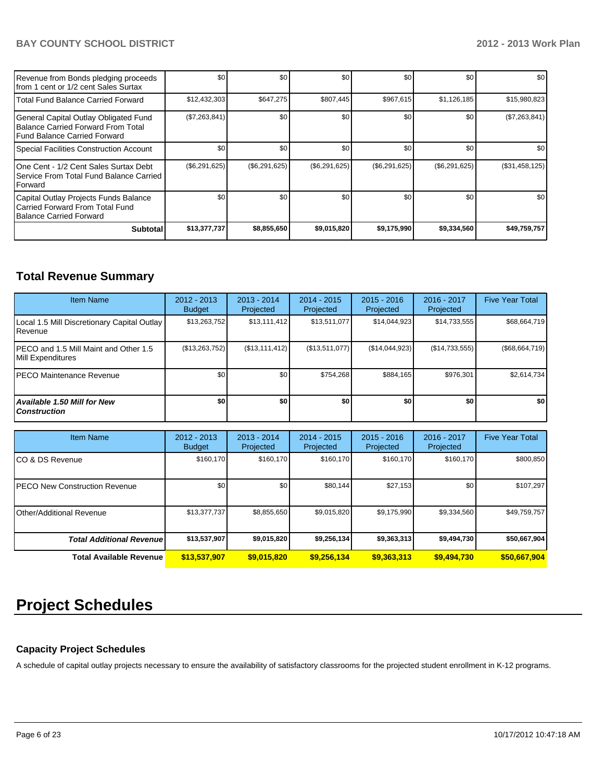| Revenue from Bonds pledging proceeds<br>Ifrom 1 cent or 1/2 cent Sales Surtax                               | \$0           | \$0           | \$0           | \$0           | \$0              | \$0            |
|-------------------------------------------------------------------------------------------------------------|---------------|---------------|---------------|---------------|------------------|----------------|
| Total Fund Balance Carried Forward                                                                          | \$12,432,303  | \$647,275     | \$807,445     | \$967,615     | \$1,126,185      | \$15,980,823   |
| General Capital Outlay Obligated Fund<br>Balance Carried Forward From Total<br>Fund Balance Carried Forward | (\$7,263,841) | \$0           | \$0           | \$0           | \$0 <sub>1</sub> | (\$7,263,841)  |
| Special Facilities Construction Account                                                                     | \$0           | \$0           | \$0           | \$0           | \$0              | \$0            |
| IOne Cent - 1/2 Cent Sales Surtax Debt<br>Service From Total Fund Balance Carried<br><b>IForward</b>        | (\$6,291,625) | (\$6,291,625) | (\$6,291,625) | (\$6,291,625) | (\$6,291,625)    | (\$31,458,125) |
| Capital Outlay Projects Funds Balance<br>Carried Forward From Total Fund<br>Balance Carried Forward         | \$0           | \$0           | \$0           | \$0           | \$0              | \$0            |
| <b>Subtotal</b>                                                                                             | \$13,377,737  | \$8,855,650   | \$9,015,820   | \$9,175,990   | \$9,334,560      | \$49,759,757   |

# **Total Revenue Summary**

| <b>Item Name</b>                                            | 2012 - 2013<br><b>Budget</b> | $2013 - 2014$<br>Projected | 2014 - 2015<br>Projected | $2015 - 2016$<br>Projected | $2016 - 2017$<br>Projected | <b>Five Year Total</b> |
|-------------------------------------------------------------|------------------------------|----------------------------|--------------------------|----------------------------|----------------------------|------------------------|
| Local 1.5 Mill Discretionary Capital Outlay<br>l Revenue    | \$13,263,752                 | \$13,111,412               | \$13.511.077             | \$14.044.923               | \$14,733,555               | \$68,664,719           |
| IPECO and 1.5 Mill Maint and Other 1.5<br>Mill Expenditures | (\$13,263,752)               | (S13.111.412)              | (\$13,511,077)           | (S14, 044, 923)            | (S14, 733, 555)            | (\$68,664,719)         |
| IPECO Maintenance Revenue                                   | \$0                          | \$0                        | \$754.268                | \$884.165                  | \$976.301                  | \$2,614,734            |
| <b>Available 1.50 Mill for New</b><br><b>Construction</b>   | \$0                          | \$0                        | \$0                      | \$0                        | \$0                        | \$0 <sub>1</sub>       |

| <b>Item Name</b>                 | 2012 - 2013<br><b>Budget</b> | $2013 - 2014$<br>Projected | 2014 - 2015<br>Projected | $2015 - 2016$<br>Projected | 2016 - 2017<br>Projected | <b>Five Year Total</b> |
|----------------------------------|------------------------------|----------------------------|--------------------------|----------------------------|--------------------------|------------------------|
| ICO & DS Revenue                 | \$160,170                    | \$160,170                  | \$160.170                | \$160,170                  | \$160,170                | \$800,850              |
| IPECO New Construction Revenue   | \$0                          | \$0                        | \$80.144                 | \$27,153                   | \$0                      | \$107,297              |
| <b>Other/Additional Revenue</b>  | \$13,377,737                 | \$8,855,650                | \$9,015,820              | \$9,175,990                | \$9,334,560              | \$49,759,757           |
| <b>Total Additional Revenuel</b> | \$13,537,907                 | \$9,015,820                | \$9,256,134              | \$9,363,313                | \$9,494,730              | \$50,667,904           |
| <b>Total Available Revenue</b>   | \$13,537,907                 | \$9,015,820                | \$9,256,134              | \$9,363,313                | \$9,494,730              | \$50,667,904           |

# **Project Schedules**

#### **Capacity Project Schedules**

A schedule of capital outlay projects necessary to ensure the availability of satisfactory classrooms for the projected student enrollment in K-12 programs.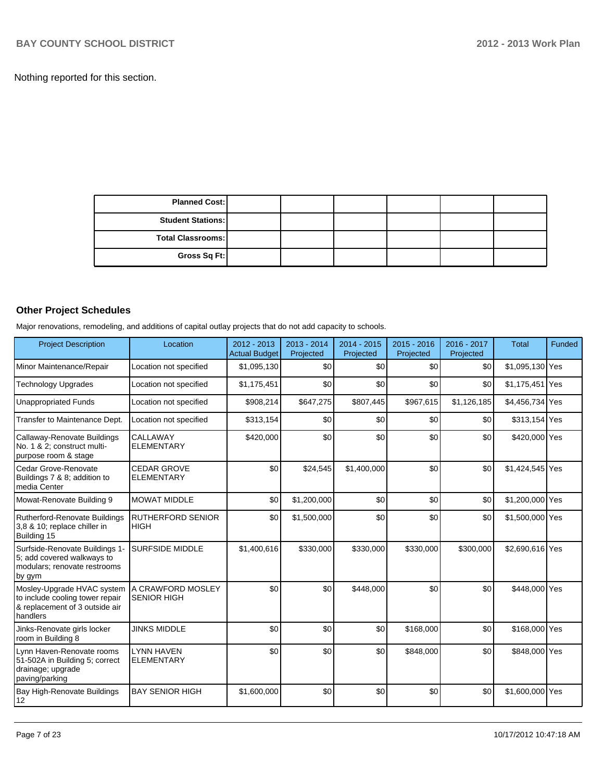Nothing reported for this section.

| <b>Planned Cost:</b>     |  |  |  |
|--------------------------|--|--|--|
| <b>Student Stations:</b> |  |  |  |
| <b>Total Classrooms:</b> |  |  |  |
| Gross Sq Ft:             |  |  |  |

### **Other Project Schedules**

Major renovations, remodeling, and additions of capital outlay projects that do not add capacity to schools.

| <b>Project Description</b>                                                                                  | Location                                | $2012 - 2013$<br><b>Actual Budget</b> | 2013 - 2014<br>Projected | $2014 - 2015$<br>Projected | $2015 - 2016$<br>Projected | 2016 - 2017<br>Projected | <b>Total</b>    | Funded |
|-------------------------------------------------------------------------------------------------------------|-----------------------------------------|---------------------------------------|--------------------------|----------------------------|----------------------------|--------------------------|-----------------|--------|
| Minor Maintenance/Repair                                                                                    | Location not specified                  | \$1,095,130                           | \$0                      | \$0                        | \$0                        | \$0                      | \$1,095,130 Yes |        |
| <b>Technology Upgrades</b>                                                                                  | Location not specified                  | \$1,175,451                           | \$0                      | \$0                        | \$0                        | \$0                      | \$1,175,451 Yes |        |
| <b>Unappropriated Funds</b>                                                                                 | Location not specified                  | \$908,214                             | \$647,275                | \$807,445                  | \$967,615                  | \$1,126,185              | \$4,456,734 Yes |        |
| Transfer to Maintenance Dept.                                                                               | Location not specified                  | \$313,154                             | \$0                      | \$0                        | \$0                        | \$0                      | \$313,154 Yes   |        |
| Callaway-Renovate Buildings<br>No. 1 & 2: construct multi-<br>purpose room & stage                          | <b>CALLAWAY</b><br><b>ELEMENTARY</b>    | \$420,000                             | \$0                      | \$0                        | \$0                        | \$0                      | \$420,000 Yes   |        |
| Cedar Grove-Renovate<br>Buildings 7 & 8; addition to<br>media Center                                        | <b>CEDAR GROVE</b><br><b>ELEMENTARY</b> | \$0                                   | \$24,545                 | \$1,400,000                | \$0                        | \$0                      | \$1,424,545 Yes |        |
| Mowat-Renovate Building 9                                                                                   | <b>MOWAT MIDDLE</b>                     | \$0                                   | \$1,200,000              | \$0                        | \$0                        | \$0                      | \$1,200,000 Yes |        |
| Rutherford-Renovate Buildings<br>3,8 & 10; replace chiller in<br>Building 15                                | <b>RUTHERFORD SENIOR</b><br><b>HIGH</b> | \$0                                   | \$1,500,000              | \$0                        | \$0                        | \$0                      | \$1,500,000 Yes |        |
| Surfside-Renovate Buildings 1-<br>5; add covered walkways to<br>modulars; renovate restrooms<br> by gym     | <b>SURFSIDE MIDDLE</b>                  | \$1,400,616                           | \$330,000                | \$330,000                  | \$330,000                  | \$300,000                | \$2,690,616 Yes |        |
| Mosley-Upgrade HVAC system<br>to include cooling tower repair<br>& replacement of 3 outside air<br>handlers | A CRAWFORD MOSLEY<br><b>SENIOR HIGH</b> | \$0                                   | \$0                      | \$448,000                  | \$0                        | \$0                      | \$448,000 Yes   |        |
| Jinks-Renovate girls locker<br>room in Building 8                                                           | <b>JINKS MIDDLE</b>                     | \$0                                   | \$0                      | \$0                        | \$168,000                  | \$0                      | \$168,000 Yes   |        |
| Lynn Haven-Renovate rooms<br>51-502A in Building 5; correct<br>drainage; upgrade<br>paving/parking          | <b>LYNN HAVEN</b><br><b>ELEMENTARY</b>  | \$0                                   | \$0                      | \$0                        | \$848,000                  | \$0                      | \$848,000 Yes   |        |
| Bay High-Renovate Buildings<br>12                                                                           | <b>BAY SENIOR HIGH</b>                  | \$1,600,000                           | \$0                      | \$0                        | \$0                        | \$0                      | \$1,600,000 Yes |        |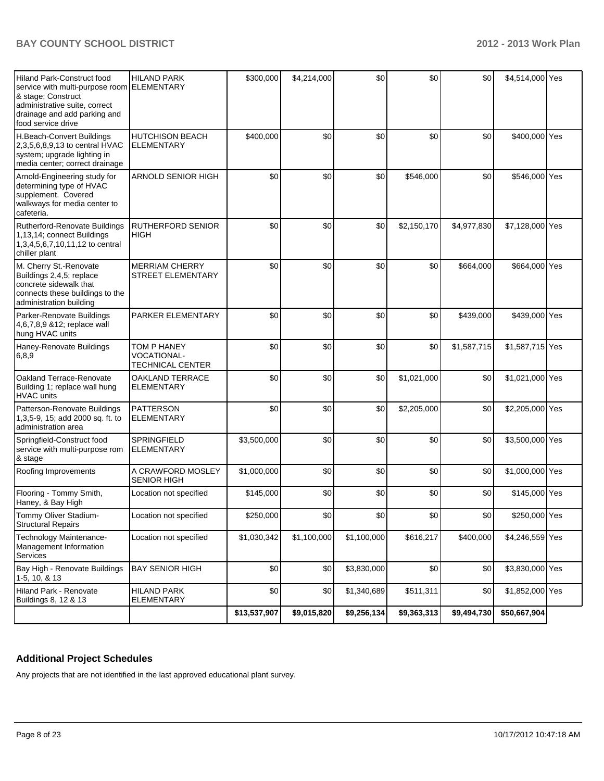| Hiland Park-Construct food<br>service with multi-purpose room ELEMENTARY<br>& stage; Construct<br>administrative suite, correct<br>drainage and add parking and<br>food service drive | <b>HILAND PARK</b>                                           | \$300,000    | \$4,214,000 | \$0         | \$0         | \$0         | \$4,514,000 Yes |  |
|---------------------------------------------------------------------------------------------------------------------------------------------------------------------------------------|--------------------------------------------------------------|--------------|-------------|-------------|-------------|-------------|-----------------|--|
| H.Beach-Convert Buildings<br>2,3,5,6,8,9,13 to central HVAC<br>system; upgrade lighting in<br>media center; correct drainage                                                          | <b>HUTCHISON BEACH</b><br><b>ELEMENTARY</b>                  | \$400,000    | \$0         | \$0         | \$0         | \$0         | \$400,000 Yes   |  |
| Arnold-Engineering study for<br>determining type of HVAC<br>supplement. Covered<br>walkways for media center to<br>cafeteria.                                                         | <b>ARNOLD SENIOR HIGH</b>                                    | \$0          | \$0         | \$0         | \$546,000   | \$0         | \$546,000 Yes   |  |
| Rutherford-Renovate Buildings<br>1,13,14; connect Buildings<br>1,3,4,5,6,7,10,11,12 to central<br>chiller plant                                                                       | <b>RUTHERFORD SENIOR</b><br><b>HIGH</b>                      | \$0          | \$0         | \$0         | \$2,150,170 | \$4,977,830 | \$7,128,000 Yes |  |
| M. Cherry St.-Renovate<br>Buildings 2,4,5; replace<br>concrete sidewalk that<br>connects these buildings to the<br>administration building                                            | <b>MERRIAM CHERRY</b><br><b>STREET ELEMENTARY</b>            | \$0          | \$0         | \$0         | \$0         | \$664,000   | \$664,000 Yes   |  |
| Parker-Renovate Buildings<br>4,6,7,8,9 & 12; replace wall<br>hung HVAC units                                                                                                          | PARKER ELEMENTARY                                            | \$0          | \$0         | \$0         | \$0         | \$439,000   | \$439,000 Yes   |  |
| Haney-Renovate Buildings<br> 6, 8, 9                                                                                                                                                  | TOM P HANEY<br><b>VOCATIONAL-</b><br><b>TECHNICAL CENTER</b> | \$0          | \$0         | \$0         | \$0         | \$1,587,715 | \$1,587,715 Yes |  |
| Oakland Terrace-Renovate<br>Building 1; replace wall hung<br><b>HVAC</b> units                                                                                                        | <b>OAKLAND TERRACE</b><br><b>ELEMENTARY</b>                  | \$0          | \$0         | \$0         | \$1,021,000 | \$0         | \$1,021,000 Yes |  |
| Patterson-Renovate Buildings<br>1,3,5-9, 15; add 2000 sq. ft. to<br>administration area                                                                                               | <b>PATTERSON</b><br><b>ELEMENTARY</b>                        | \$0          | \$0         | \$0         | \$2,205,000 | \$0         | \$2,205,000 Yes |  |
| Springfield-Construct food<br>service with multi-purpose rom<br>& stage                                                                                                               | <b>SPRINGFIELD</b><br><b>ELEMENTARY</b>                      | \$3,500,000  | \$0         | \$0         | \$0         | \$0         | \$3,500,000 Yes |  |
| Roofing Improvements                                                                                                                                                                  | A CRAWFORD MOSLEY<br><b>SENIOR HIGH</b>                      | \$1,000,000  | \$0         | \$0         | \$0         | \$0         | \$1,000,000 Yes |  |
| Flooring - Tommy Smith,<br>Haney, & Bay High                                                                                                                                          | Location not specified                                       | \$145,000    | \$0         | \$0         | \$0         | \$0         | \$145,000 Yes   |  |
| Tommy Oliver Stadium-<br><b>Structural Repairs</b>                                                                                                                                    | Location not specified                                       | \$250,000    | $$0$$       | $$0$$       | $$0$$       | \$0         | \$250,000 Yes   |  |
| Technology Maintenance-<br>Management Information<br>Services                                                                                                                         | Location not specified                                       | \$1,030,342  | \$1,100,000 | \$1,100,000 | \$616,217   | \$400,000   | \$4,246,559 Yes |  |
| Bay High - Renovate Buildings<br>1-5, 10, & 13                                                                                                                                        | <b>BAY SENIOR HIGH</b>                                       | \$0          | \$0         | \$3,830,000 | \$0         | \$0         | \$3,830,000 Yes |  |
| Hiland Park - Renovate<br>Buildings 8, 12 & 13                                                                                                                                        | <b>HILAND PARK</b><br><b>ELEMENTARY</b>                      | \$0          | \$0         | \$1,340,689 | \$511,311   | \$0         | \$1,852,000 Yes |  |
|                                                                                                                                                                                       |                                                              | \$13,537,907 | \$9,015,820 | \$9,256,134 | \$9,363,313 | \$9,494,730 | \$50,667,904    |  |

## **Additional Project Schedules**

Any projects that are not identified in the last approved educational plant survey.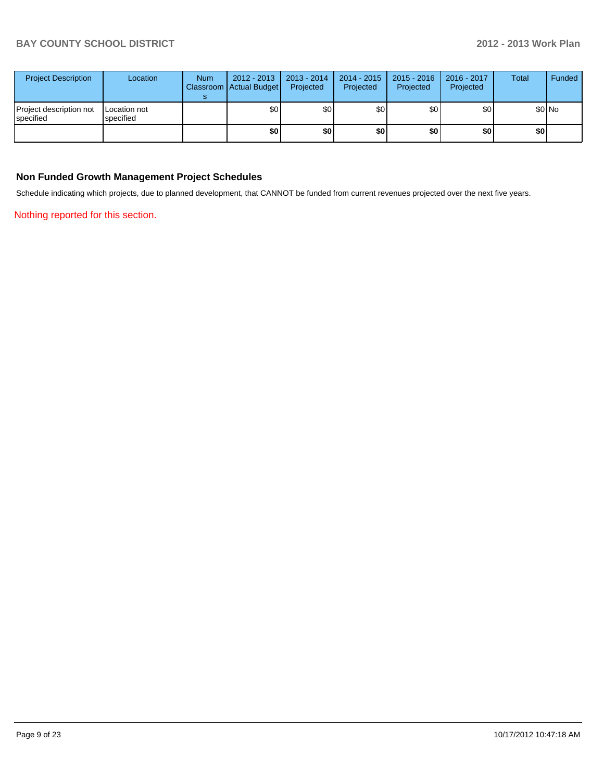| <b>Project Description</b>           | Location                  | <b>Num</b> | $2012 - 2013$<br>Classroom   Actual Budget | 2013 - 2014<br>Projected | $2014 - 2015$<br>Projected | 2015 - 2016<br>Projected | 2016 - 2017<br>Projected | Total | Funded |
|--------------------------------------|---------------------------|------------|--------------------------------------------|--------------------------|----------------------------|--------------------------|--------------------------|-------|--------|
| Project description not<br>specified | Location not<br>specified |            | \$0                                        | \$0                      | \$0                        | \$0                      | \$0                      |       | \$0 No |
|                                      |                           |            | \$0                                        | \$0                      | \$0                        | \$0                      | \$0                      | \$0   |        |

#### **Non Funded Growth Management Project Schedules**

Schedule indicating which projects, due to planned development, that CANNOT be funded from current revenues projected over the next five years.

Nothing reported for this section.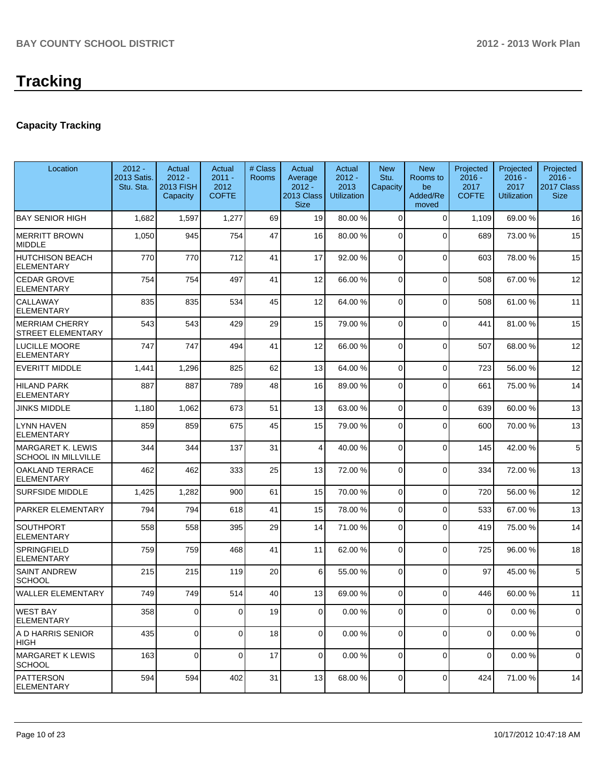## **Capacity Tracking**

| Location                                               | $2012 -$<br>2013 Satis.<br>Stu. Sta. | Actual<br>$2012 -$<br><b>2013 FISH</b><br>Capacity | Actual<br>$2011 -$<br>2012<br><b>COFTE</b> | # Class<br><b>Rooms</b> | Actual<br>Average<br>$2012 -$<br>2013 Class<br><b>Size</b> | Actual<br>$2012 -$<br>2013<br><b>Utilization</b> | <b>New</b><br>Stu.<br>Capacity | <b>New</b><br>Rooms to<br>be<br>Added/Re<br>moved | Projected<br>$2016 -$<br>2017<br><b>COFTE</b> | Projected<br>$2016 -$<br>2017<br><b>Utilization</b> | Projected<br>$2016 -$<br>2017 Class<br><b>Size</b> |
|--------------------------------------------------------|--------------------------------------|----------------------------------------------------|--------------------------------------------|-------------------------|------------------------------------------------------------|--------------------------------------------------|--------------------------------|---------------------------------------------------|-----------------------------------------------|-----------------------------------------------------|----------------------------------------------------|
| <b>BAY SENIOR HIGH</b>                                 | 1,682                                | 1,597                                              | 1,277                                      | 69                      | 19                                                         | 80.00 %                                          | $\Omega$                       | $\Omega$                                          | 1,109                                         | 69.00%                                              | 16                                                 |
| <b>MERRITT BROWN</b><br><b>MIDDLE</b>                  | 1,050                                | 945                                                | 754                                        | 47                      | 16                                                         | 80.00 %                                          | $\Omega$                       | $\Omega$                                          | 689                                           | 73.00 %                                             | 15                                                 |
| <b>HUTCHISON BEACH</b><br><b>ELEMENTARY</b>            | 770                                  | 770                                                | 712                                        | 41                      | 17                                                         | 92.00 %                                          | $\Omega$                       | $\Omega$                                          | 603                                           | 78.00 %                                             | 15                                                 |
| <b>CEDAR GROVE</b><br><b>ELEMENTARY</b>                | 754                                  | 754                                                | 497                                        | 41                      | 12                                                         | 66.00 %                                          | $\Omega$                       | $\Omega$                                          | 508                                           | 67.00 %                                             | 12                                                 |
| CALLAWAY<br><b>ELEMENTARY</b>                          | 835                                  | 835                                                | 534                                        | 45                      | 12                                                         | 64.00 %                                          | $\mathbf 0$                    | $\Omega$                                          | 508                                           | 61.00%                                              | 11                                                 |
| <b>MERRIAM CHERRY</b><br><b>STREET ELEMENTARY</b>      | 543                                  | 543                                                | 429                                        | 29                      | 15                                                         | 79.00 %                                          | $\mathbf 0$                    | $\Omega$                                          | 441                                           | 81.00%                                              | 15                                                 |
| <b>LUCILLE MOORE</b><br><b>ELEMENTARY</b>              | 747                                  | 747                                                | 494                                        | 41                      | 12                                                         | 66.00 %                                          | $\mathbf 0$                    | $\Omega$                                          | 507                                           | 68.00%                                              | 12                                                 |
| <b>EVERITT MIDDLE</b>                                  | 1,441                                | 1,296                                              | 825                                        | 62                      | 13                                                         | 64.00 %                                          | $\mathbf 0$                    | $\Omega$                                          | 723                                           | 56.00 %                                             | 12                                                 |
| <b>HILAND PARK</b><br><b>ELEMENTARY</b>                | 887                                  | 887                                                | 789                                        | 48                      | 16                                                         | 89.00 %                                          | $\Omega$                       | $\Omega$                                          | 661                                           | 75.00 %                                             | 14                                                 |
| <b>JINKS MIDDLE</b>                                    | 1,180                                | 1,062                                              | 673                                        | 51                      | 13                                                         | 63.00 %                                          | $\mathbf 0$                    | $\Omega$                                          | 639                                           | 60.00%                                              | 13                                                 |
| <b>LYNN HAVEN</b><br><b>ELEMENTARY</b>                 | 859                                  | 859                                                | 675                                        | 45                      | 15                                                         | 79.00 %                                          | $\mathbf 0$                    | $\Omega$                                          | 600                                           | 70.00%                                              | 13                                                 |
| <b>MARGARET K. LEWIS</b><br><b>SCHOOL IN MILLVILLE</b> | 344                                  | 344                                                | 137                                        | 31                      | $\overline{4}$                                             | 40.00 %                                          | $\mathbf 0$                    | $\Omega$                                          | 145                                           | 42.00%                                              | 5                                                  |
| <b>OAKLAND TERRACE</b><br><b>ELEMENTARY</b>            | 462                                  | 462                                                | 333                                        | 25                      | 13                                                         | 72.00 %                                          | $\mathbf 0$                    | $\Omega$                                          | 334                                           | 72.00 %                                             | 13                                                 |
| <b>SURFSIDE MIDDLE</b>                                 | 1,425                                | 1,282                                              | 900                                        | 61                      | 15                                                         | 70.00 %                                          | $\mathbf 0$                    | $\Omega$                                          | 720                                           | 56.00 %                                             | 12                                                 |
| PARKER ELEMENTARY                                      | 794                                  | 794                                                | 618                                        | 41                      | 15                                                         | 78.00 %                                          | $\mathbf 0$                    | $\Omega$                                          | 533                                           | 67.00%                                              | 13                                                 |
| <b>SOUTHPORT</b><br><b>ELEMENTARY</b>                  | 558                                  | 558                                                | 395                                        | 29                      | 14                                                         | 71.00 %                                          | $\mathbf 0$                    | $\Omega$                                          | 419                                           | 75.00 %                                             | 14                                                 |
| SPRINGFIELD<br><b>ELEMENTARY</b>                       | 759                                  | 759                                                | 468                                        | 41                      | 11                                                         | 62.00 %                                          | $\mathbf 0$                    | $\Omega$                                          | 725                                           | 96.00%                                              | 18                                                 |
| <b>SAINT ANDREW</b><br><b>SCHOOL</b>                   | 215                                  | 215                                                | 119                                        | 20                      | 6                                                          | 55.00 %                                          | $\mathbf 0$                    | $\Omega$                                          | 97                                            | 45.00%                                              | 5                                                  |
| <b>WALLER ELEMENTARY</b>                               | 749                                  | 749                                                | 514                                        | 40                      | 13                                                         | 69.00 %                                          | $\Omega$                       | $\Omega$                                          | 446                                           | 60.00%                                              | 11                                                 |
| <b>WEST BAY</b><br><b>ELEMENTARY</b>                   | 358                                  | 0                                                  | $\overline{0}$                             | 19                      | $\overline{0}$                                             | 0.00 %                                           | $\overline{0}$                 | $\Omega$                                          | $\mathbf 0$                                   | 0.00%                                               | 0                                                  |
| A D HARRIS SENIOR<br> HIGH                             | 435                                  | $\mathbf 0$                                        | $\Omega$                                   | 18                      | $\overline{0}$                                             | 0.00 %                                           | $\overline{0}$                 | $\overline{0}$                                    | $\mathbf 0$                                   | 0.00%                                               | $\mathbf 0$                                        |
| MARGARET K LEWIS<br>SCHOOL                             | 163                                  | $\mathbf 0$                                        | $\Omega$                                   | 17                      | $\overline{0}$                                             | 0.00%                                            | $\mathbf 0$                    | $\Omega$                                          | $\mathbf 0$                                   | 0.00%                                               | $\mathbf 0$                                        |
| <b>PATTERSON</b><br><b>ELEMENTARY</b>                  | 594                                  | 594                                                | 402                                        | 31                      | 13                                                         | 68.00 %                                          | $\mathbf 0$                    | 0                                                 | 424                                           | 71.00%                                              | 14                                                 |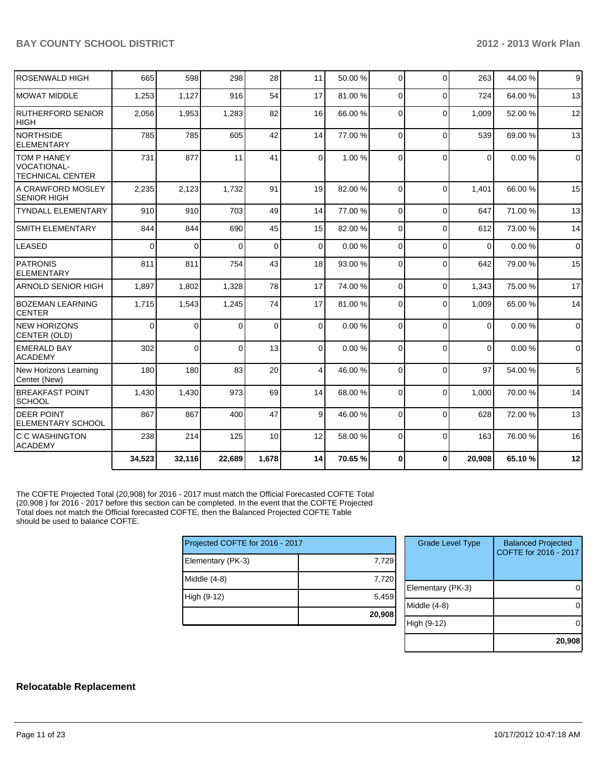| <b>ROSENWALD HIGH</b>                                               | 665      | 598      | 298      | 28          | 11              | 50.00 % | $\Omega$       | $\Omega$ | 263            | 44.00%  | 9           |
|---------------------------------------------------------------------|----------|----------|----------|-------------|-----------------|---------|----------------|----------|----------------|---------|-------------|
| <b>MOWAT MIDDLE</b>                                                 | 1,253    | 1,127    | 916      | 54          | 17              | 81.00%  | $\Omega$       | $\Omega$ | 724            | 64.00%  | 13          |
| <b>RUTHERFORD SENIOR</b><br><b>HIGH</b>                             | 2,056    | 1,953    | 1,283    | 82          | 16              | 66.00 % | $\Omega$       | $\Omega$ | 1.009          | 52.00 % | 12          |
| <b>NORTHSIDE</b><br><b>ELEMENTARY</b>                               | 785      | 785      | 605      | 42          | 14              | 77.00 % | $\Omega$       | $\Omega$ | 539            | 69.00 % | 13          |
| <b>TOM P HANEY</b><br><b>VOCATIONAL-</b><br><b>TECHNICAL CENTER</b> | 731      | 877      | 11       | 41          | $\Omega$        | 1.00 %  | $\Omega$       | $\Omega$ | $\Omega$       | 0.00%   | $\mathbf 0$ |
| A CRAWFORD MOSLEY<br><b>SENIOR HIGH</b>                             | 2,235    | 2,123    | 1,732    | 91          | 19              | 82.00 % | $\Omega$       | $\Omega$ | 1,401          | 66.00 % | 15          |
| <b>TYNDALL ELEMENTARY</b>                                           | 910      | 910      | 703      | 49          | 14              | 77.00 % | $\Omega$       | $\Omega$ | 647            | 71.00%  | 13          |
| <b>SMITH ELEMENTARY</b>                                             | 844      | 844      | 690      | 45          | 15              | 82.00 % | $\Omega$       | $\Omega$ | 612            | 73.00 % | 14          |
| <b>LEASED</b>                                                       | $\Omega$ | $\Omega$ | $\Omega$ | $\mathbf 0$ | $\Omega$        | 0.00%   | $\overline{0}$ | $\Omega$ | $\overline{0}$ | 0.00%   | $\Omega$    |
| <b>PATRONIS</b><br><b>ELEMENTARY</b>                                | 811      | 811      | 754      | 43          | 18              | 93.00 % | $\Omega$       | $\Omega$ | 642            | 79.00 % | 15          |
| <b>ARNOLD SENIOR HIGH</b>                                           | 1,897    | 1,802    | 1,328    | 78          | 17              | 74.00 % | $\Omega$       | $\Omega$ | 1,343          | 75.00 % | 17          |
| <b>BOZEMAN LEARNING</b><br><b>CENTER</b>                            | 1,715    | 1,543    | 1,245    | 74          | 17              | 81.00 % | $\Omega$       | $\Omega$ | 1,009          | 65.00 % | 14          |
| <b>NEW HORIZONS</b><br>CENTER (OLD)                                 | $\Omega$ | 0        | 0        | 0           | $\Omega$        | 0.00%   | $\Omega$       | $\Omega$ | $\Omega$       | 0.00%   | $\mathbf 0$ |
| <b>EMERALD BAY</b><br><b>ACADEMY</b>                                | 302      | $\Omega$ | 0        | 13          | 0               | 0.00%   | $\Omega$       | $\Omega$ | $\Omega$       | 0.00%   | $\mathbf 0$ |
| New Horizons Learning<br>Center (New)                               | 180      | 180      | 83       | 20          | $\overline{4}$  | 46.00 % | $\Omega$       | $\Omega$ | 97             | 54.00 % | 5           |
| <b>BREAKFAST POINT</b><br><b>SCHOOL</b>                             | 1,430    | 1,430    | 973      | 69          | 14              | 68.00 % | $\Omega$       | $\Omega$ | 1.000          | 70.00%  | 14          |
| <b>DEER POINT</b><br><b>ELEMENTARY SCHOOL</b>                       | 867      | 867      | 400      | 47          | $\vert 9 \vert$ | 46.00 % | $\Omega$       | $\Omega$ | 628            | 72.00 % | 13          |
| C C WASHINGTON<br><b>ACADEMY</b>                                    | 238      | 214      | 125      | 10          | 12              | 58.00 % | $\Omega$       | $\Omega$ | 163            | 76.00 % | 16          |
|                                                                     | 34,523   | 32,116   | 22,689   | 1,678       | 14              | 70.65 % | $\mathbf{0}$   | $\bf{0}$ | 20,908         | 65.10%  | 12          |

The COFTE Projected Total (20,908) for 2016 - 2017 must match the Official Forecasted COFTE Total (20,908 ) for 2016 - 2017 before this section can be completed. In the event that the COFTE Projected Total does not match the Official forecasted COFTE, then the Balanced Projected COFTE Table should be used to balance COFTE.

| Projected COFTE for 2016 - 2017 |        |   |
|---------------------------------|--------|---|
| Elementary (PK-3)               | 7,729  |   |
| Middle (4-8)                    | 7,720  | E |
| High (9-12)                     | 5,459  | M |
|                                 | 20,908 |   |

| <b>Grade Level Type</b> | <b>Balanced Projected</b><br>COFTE for 2016 - 2017 |
|-------------------------|----------------------------------------------------|
| Elementary (PK-3)       |                                                    |
| Middle (4-8)            |                                                    |
| High (9-12)             |                                                    |
|                         | 20,908                                             |

#### **Relocatable Replacement**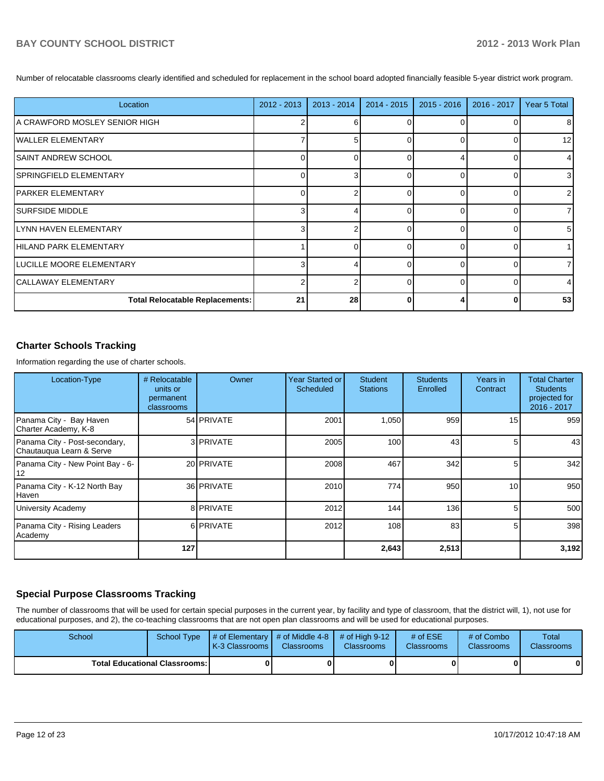Number of relocatable classrooms clearly identified and scheduled for replacement in the school board adopted financially feasible 5-year district work program.

| Location                               | $2012 - 2013$ | $2013 - 2014$ | $2014 - 2015$ | $2015 - 2016$ | 2016 - 2017 | Year 5 Total   |
|----------------------------------------|---------------|---------------|---------------|---------------|-------------|----------------|
| A CRAWFORD MOSLEY SENIOR HIGH          |               | 6             |               |               |             | 8              |
| IWALLER ELEMENTARY                     |               | 5             |               |               |             | 12             |
| ISAINT ANDREW SCHOOL                   | 0             |               | n             |               |             | $\overline{4}$ |
| ISPRINGFIELD ELEMENTARY                | 0             | 3             |               |               |             | 3 <sup>1</sup> |
| IPARKER ELEMENTARY                     | $\Omega$      |               |               |               |             | $\overline{2}$ |
| ISURFSIDE MIDDLE                       | 3             |               | ∩             | <sup>0</sup>  |             | 71             |
| ILYNN HAVEN ELEMENTARY                 | 3             |               | $\Omega$      | $\Omega$      |             | 5 <sub>l</sub> |
| HILAND PARK ELEMENTARY                 |               | ∩             | ∩             | U             |             |                |
| ILUCILLE MOORE ELEMENTARY              | 3             |               | $\Omega$      | U             |             |                |
| CALLAWAY ELEMENTARY                    | 2             |               | $\Omega$      | U             |             | 4              |
| <b>Total Relocatable Replacements:</b> | 21            | 28            |               |               |             | 53             |

#### **Charter Schools Tracking**

Information regarding the use of charter schools.

| Location-Type                                             | # Relocatable<br>units or<br>permanent<br>classrooms | Owner             | <b>Year Started or</b><br>Scheduled | <b>Student</b><br><b>Stations</b> | <b>Students</b><br>Enrolled | Years in<br>Contract | <b>Total Charter</b><br><b>Students</b><br>projected for<br>2016 - 2017 |
|-----------------------------------------------------------|------------------------------------------------------|-------------------|-------------------------------------|-----------------------------------|-----------------------------|----------------------|-------------------------------------------------------------------------|
| Panama City - Bay Haven<br>Charter Academy, K-8           |                                                      | 54 <b>PRIVATE</b> | 2001                                | 1,050                             | 959                         | 15                   | 959                                                                     |
| Panama City - Post-secondary,<br>Chautauqua Learn & Serve |                                                      | 3 PRIVATE         | 2005                                | 100                               | 43                          | 5                    | 43                                                                      |
| Panama City - New Point Bay - 6-<br> 12                   |                                                      | 20 PRIVATE        | 2008                                | 467                               | 342                         | 5                    | 342                                                                     |
| Panama City - K-12 North Bay<br>Haven                     |                                                      | 36 PRIVATE        | 2010                                | 774                               | 950                         | 10 <sup>1</sup>      | 950                                                                     |
| University Academy                                        |                                                      | 8 PRIVATE         | 2012                                | 144                               | 136                         | 5 <sup>1</sup>       | 500                                                                     |
| Panama City - Rising Leaders<br>Academy                   |                                                      | 6 PRIVATE         | 2012                                | 108                               | 83                          | 5                    | 398                                                                     |
|                                                           | 127                                                  |                   |                                     | 2,643                             | 2,513                       |                      | 3,192                                                                   |

#### **Special Purpose Classrooms Tracking**

The number of classrooms that will be used for certain special purposes in the current year, by facility and type of classroom, that the district will, 1), not use for educational purposes, and 2), the co-teaching classrooms that are not open plan classrooms and will be used for educational purposes.

| School | School Type                            | $\parallel$ # of Elementary $\parallel$ # of Middle 4-8 $\parallel$ # of High 9-12<br><b>IK-3 Classrooms I</b> | <b>Classrooms</b> | <b>Classrooms</b> | # of $ESE$<br><b>Classrooms</b> | # of Combo<br><b>Classrooms</b> | Total<br><b>Classrooms</b> |
|--------|----------------------------------------|----------------------------------------------------------------------------------------------------------------|-------------------|-------------------|---------------------------------|---------------------------------|----------------------------|
|        | <b>Total Educational Classrooms: I</b> |                                                                                                                |                   |                   |                                 | 0                               |                            |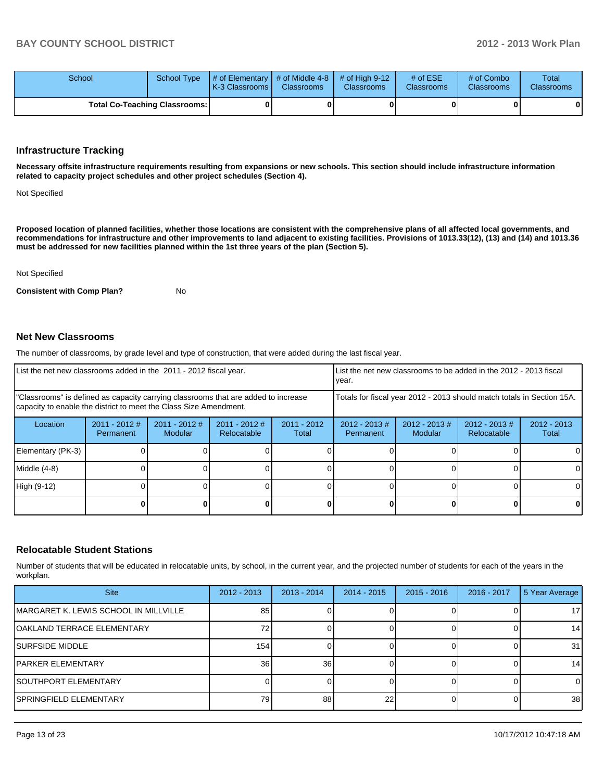| School                               | School Type $\parallel \#$ of Elementary $\parallel \#$ of Middle 4-8 $\parallel \#$ of High 9-12<br><b>IK-3 Classrooms I</b> | <b>Classrooms</b> | <b>Classrooms</b> | # of $ESE$<br>Classrooms | # of Combo<br><b>Classrooms</b> | Total<br><b>Classrooms</b> |
|--------------------------------------|-------------------------------------------------------------------------------------------------------------------------------|-------------------|-------------------|--------------------------|---------------------------------|----------------------------|
| <b>Total Co-Teaching Classrooms:</b> |                                                                                                                               |                   |                   |                          | 01                              | 0                          |

#### **Infrastructure Tracking**

**Necessary offsite infrastructure requirements resulting from expansions or new schools. This section should include infrastructure information related to capacity project schedules and other project schedules (Section 4).**

Not Specified

**Proposed location of planned facilities, whether those locations are consistent with the comprehensive plans of all affected local governments, and recommendations for infrastructure and other improvements to land adjacent to existing facilities. Provisions of 1013.33(12), (13) and (14) and 1013.36 must be addressed for new facilities planned within the 1st three years of the plan (Section 5).**

Not Specified

**Consistent with Comp Plan?** No

#### **Net New Classrooms**

The number of classrooms, by grade level and type of construction, that were added during the last fiscal year.

| List the net new classrooms added in the 2011 - 2012 fiscal year.                                                                                       |                              |                                   | Ivear.                         |                        | List the net new classrooms to be added in the 2012 - 2013 fiscal      |                            |                                 |                        |
|---------------------------------------------------------------------------------------------------------------------------------------------------------|------------------------------|-----------------------------------|--------------------------------|------------------------|------------------------------------------------------------------------|----------------------------|---------------------------------|------------------------|
| "Classrooms" is defined as capacity carrying classrooms that are added to increase<br>capacity to enable the district to meet the Class Size Amendment. |                              |                                   |                                |                        | Totals for fiscal year 2012 - 2013 should match totals in Section 15A. |                            |                                 |                        |
| Location                                                                                                                                                | $2011 - 2012$ #<br>Permanent | $2011 - 2012$ #<br><b>Modular</b> | $2011 - 2012$ #<br>Relocatable | $2011 - 2012$<br>Total | $2012 - 2013$ #<br>Permanent                                           | $2012 - 2013$ #<br>Modular | $2012 - 2013 \#$<br>Relocatable | $2012 - 2013$<br>Total |
| Elementary (PK-3)                                                                                                                                       |                              |                                   |                                |                        |                                                                        |                            |                                 |                        |
| Middle (4-8)                                                                                                                                            |                              |                                   |                                |                        |                                                                        |                            |                                 |                        |
| High (9-12)                                                                                                                                             |                              |                                   |                                |                        |                                                                        |                            |                                 |                        |
|                                                                                                                                                         |                              |                                   |                                |                        |                                                                        |                            |                                 | 0                      |

#### **Relocatable Student Stations**

Number of students that will be educated in relocatable units, by school, in the current year, and the projected number of students for each of the years in the workplan.

| <b>Site</b>                           | $2012 - 2013$ | $2013 - 2014$   | $2014 - 2015$ | $2015 - 2016$ | 2016 - 2017 | 5 Year Average  |
|---------------------------------------|---------------|-----------------|---------------|---------------|-------------|-----------------|
| MARGARET K. LEWIS SCHOOL IN MILLVILLE | 85            |                 |               |               |             | 17 <sup>1</sup> |
| OAKLAND TERRACE ELEMENTARY            |               |                 |               |               |             | 14              |
| <b>SURFSIDE MIDDLE</b>                | 154           |                 |               |               |             | 31              |
| IPARKER ELEMENTARY                    | 36            | 36 <sub>1</sub> |               |               |             | 14              |
| <b>SOUTHPORT ELEMENTARY</b>           |               |                 |               |               |             | $\Omega$        |
| ISPRINGFIELD ELEMENTARY               | 79            | 88              | 22            |               |             | 38 <sup>1</sup> |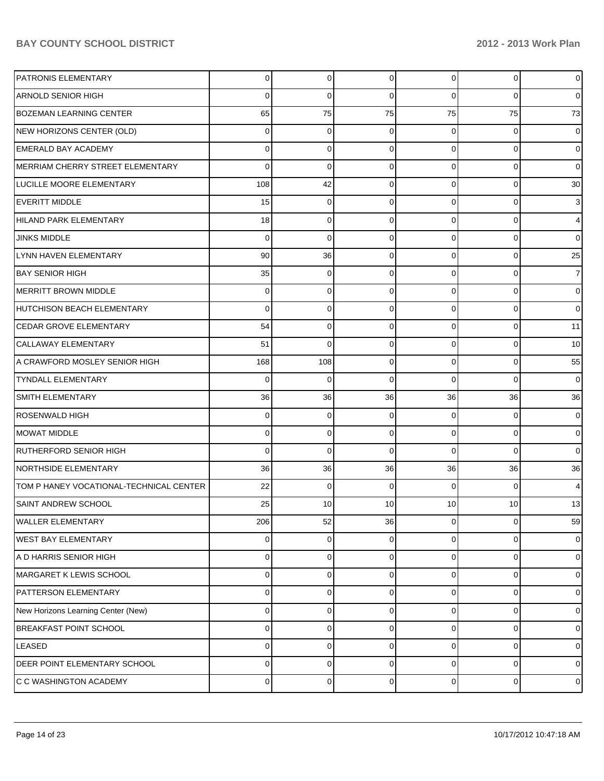| <b>PATRONIS ELEMENTARY</b>              | 0                | $\overline{0}$ | $\mathbf 0$ | $\overline{0}$ | $\overline{0}$      | $\mathbf 0$         |
|-----------------------------------------|------------------|----------------|-------------|----------------|---------------------|---------------------|
| <b>ARNOLD SENIOR HIGH</b>               | 0                | 0              | $\Omega$    | $\Omega$       | 0                   | $\mathbf 0$         |
| <b>BOZEMAN LEARNING CENTER</b>          | 65               | 75             | 75          | 75             | 75                  | 73                  |
| NEW HORIZONS CENTER (OLD)               | 0                | 0              | 0           | 0              | 0                   | $\mathbf 0$         |
| <b>EMERALD BAY ACADEMY</b>              | $\mathbf 0$      | 0              | $\Omega$    | 0              | 0                   | $\mathbf 0$         |
| MERRIAM CHERRY STREET ELEMENTARY        | $\mathbf 0$      | 0              | $\Omega$    | $\Omega$       | 0                   | $\mathbf 0$         |
| LUCILLE MOORE ELEMENTARY                | 108              | 42             | $\Omega$    | $\Omega$       | 0                   | 30                  |
| EVERITT MIDDLE                          | 15               | $\mathbf 0$    | $\Omega$    | $\Omega$       | 0                   | $\mathbf{3}$        |
| HILAND PARK ELEMENTARY                  | 18               | 0              | $\Omega$    | $\Omega$       | 0                   | $\overline{4}$      |
| <b>JINKS MIDDLE</b>                     | $\mathbf 0$      | 0              | $\Omega$    | $\Omega$       | 0                   | $\mathsf{O}\xspace$ |
| LYNN HAVEN ELEMENTARY                   | 90               | 36             | $\Omega$    | $\Omega$       | 0                   | 25                  |
| <b>BAY SENIOR HIGH</b>                  | 35               | $\mathbf 0$    | $\Omega$    | $\Omega$       | 0                   | $\overline{7}$      |
| MERRITT BROWN MIDDLE                    | 0                | 0              | $\Omega$    | $\Omega$       | 0                   | $\mathbf 0$         |
| HUTCHISON BEACH ELEMENTARY              | $\mathbf 0$      | 0              | $\Omega$    | $\Omega$       | 0                   | $\mathbf 0$         |
| CEDAR GROVE ELEMENTARY                  | 54               | 0              | $\Omega$    | $\Omega$       | 0                   | 11                  |
| CALLAWAY ELEMENTARY                     | 51               | 0              | $\Omega$    | $\Omega$       | 0                   | 10                  |
| A CRAWFORD MOSLEY SENIOR HIGH           | 168              | 108            | $\Omega$    | $\Omega$       | 0                   | 55                  |
| <b>TYNDALL ELEMENTARY</b>               | $\mathbf 0$      | $\mathbf 0$    | $\Omega$    | $\Omega$       | 0                   | $\mathbf 0$         |
| SMITH ELEMENTARY                        | 36               | 36             | 36          | 36             | 36                  | 36                  |
| ROSENWALD HIGH                          | 0                | 0              | 0           | 0              | 0                   | $\mathbf 0$         |
| MOWAT MIDDLE                            | 0                | 0              | 0           | $\Omega$       | 0                   | $\mathbf 0$         |
| RUTHERFORD SENIOR HIGH                  | $\mathbf 0$      | 0              | 0           | $\Omega$       | 0                   | $\mathsf{O}\xspace$ |
| NORTHSIDE ELEMENTARY                    | 36               | 36             | 36          | 36             | 36                  | 36                  |
| TOM P HANEY VOCATIONAL-TECHNICAL CENTER | 22               | $\mathbf 0$    | $\Omega$    | $\Omega$       | $\mathbf 0$         | $\overline{4}$      |
| <b>SAINT ANDREW SCHOOL</b>              | 25               | 10             | 10          | 10             | 10                  | 13                  |
| <b>WALLER ELEMENTARY</b>                | 206              | 52             | 36          | 0              | 0                   | 59                  |
| <b>WEST BAY ELEMENTARY</b>              | 0                | 0              | $\mathbf 0$ | 0              | 0                   | $\mathbf 0$         |
| A D HARRIS SENIOR HIGH                  | 0                | 0              | 0           | 0              | 0                   | $\mathsf{O}\xspace$ |
| MARGARET K LEWIS SCHOOL                 | 0                | 0              | 0           | 0              | 0                   | $\mathsf{O}\xspace$ |
| <b>PATTERSON ELEMENTARY</b>             | 0                | 0              | 0           | 0              | 0                   | $\mathsf{O}\xspace$ |
| New Horizons Learning Center (New)      | 0                | 0              | 0           | 0              | 0                   | $\mathbf 0$         |
| <b>BREAKFAST POINT SCHOOL</b>           | $\mathbf 0$      | 0              | 0           | 0              | 0                   | $\pmb{0}$           |
| LEASED                                  | 0                | 0              | 0           | 0              | 0                   | $\mathbf 0$         |
| DEER POINT ELEMENTARY SCHOOL            | 0                | 0              | 0           | 0              | 0                   | $\mathbf 0$         |
| C C WASHINGTON ACADEMY                  | $\boldsymbol{0}$ | 0              | $\mathbf 0$ | $\overline{0}$ | $\mathsf{O}\xspace$ | $\pmb{0}$           |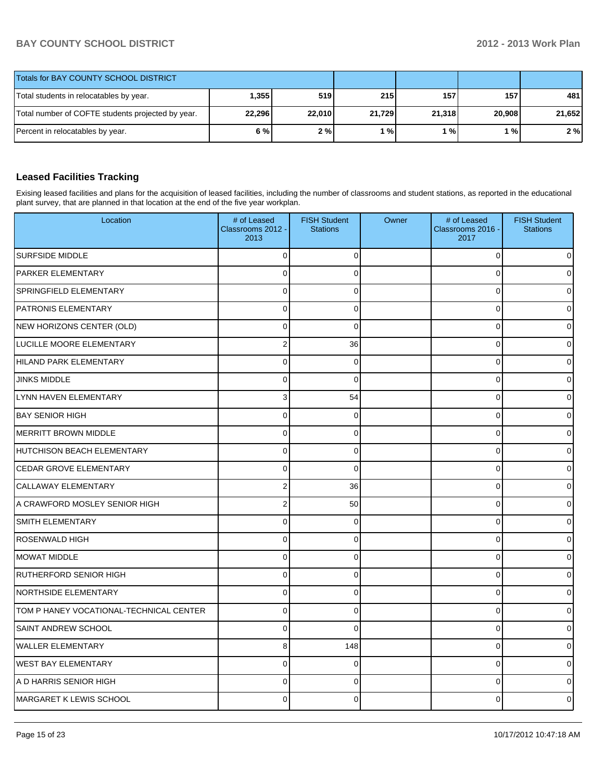| Totals for BAY COUNTY SCHOOL DISTRICT             |        |        |        |        |        |        |
|---------------------------------------------------|--------|--------|--------|--------|--------|--------|
| Total students in relocatables by year.           | ا355.ا | 519    | 215    | 157    | 157 I  | 481    |
| Total number of COFTE students projected by year. | 22,296 | 22,010 | 21,729 | 21,318 | 20.908 | 21,652 |
| Percent in relocatables by year.                  | 6 % l  | 2%     | ' %।   | 1 % I  | 1 % I  | 2%     |

### **Leased Facilities Tracking**

Exising leased facilities and plans for the acquisition of leased facilities, including the number of classrooms and student stations, as reported in the educational plant survey, that are planned in that location at the end of the five year workplan.

| Location                                | # of Leased<br>Classrooms 2012 -<br>2013 | <b>FISH Student</b><br><b>Stations</b> | Owner | # of Leased<br>Classrooms 2016 -<br>2017 | <b>FISH Student</b><br><b>Stations</b> |
|-----------------------------------------|------------------------------------------|----------------------------------------|-------|------------------------------------------|----------------------------------------|
| <b>SURFSIDE MIDDLE</b>                  | $\Omega$                                 | $\Omega$                               |       | 0                                        |                                        |
| PARKER ELEMENTARY                       | $\Omega$                                 | $\Omega$                               |       | $\Omega$                                 |                                        |
| SPRINGFIELD ELEMENTARY                  | 0                                        | $\mathbf 0$                            |       | $\mathbf 0$                              |                                        |
| <b>PATRONIS ELEMENTARY</b>              | 0                                        | $\Omega$                               |       | $\mathbf 0$                              |                                        |
| NEW HORIZONS CENTER (OLD)               | 0                                        | $\Omega$                               |       | $\mathbf 0$                              |                                        |
| LUCILLE MOORE ELEMENTARY                | $\overline{2}$                           | 36                                     |       | $\mathbf 0$                              |                                        |
| HILAND PARK ELEMENTARY                  | 0                                        | $\Omega$                               |       | 0                                        |                                        |
| <b>JINKS MIDDLE</b>                     | $\Omega$                                 | $\Omega$                               |       | $\Omega$                                 |                                        |
| LYNN HAVEN ELEMENTARY                   | 3                                        | 54                                     |       | $\mathbf 0$                              |                                        |
| <b>BAY SENIOR HIGH</b>                  | $\mathbf 0$                              | $\Omega$                               |       | $\mathbf 0$                              |                                        |
| <b>MERRITT BROWN MIDDLE</b>             | $\Omega$                                 | $\Omega$                               |       | $\Omega$                                 |                                        |
| <b>HUTCHISON BEACH ELEMENTARY</b>       | 0                                        | 0                                      |       | 0                                        |                                        |
| CEDAR GROVE ELEMENTARY                  | $\mathbf 0$                              | $\Omega$                               |       | $\mathbf 0$                              |                                        |
| CALLAWAY ELEMENTARY                     | $\overline{c}$                           | 36                                     |       | $\Omega$                                 |                                        |
| A CRAWFORD MOSLEY SENIOR HIGH           | 2                                        | 50                                     |       | $\mathbf 0$                              |                                        |
| SMITH ELEMENTARY                        | $\mathbf 0$                              | 0                                      |       | $\mathbf 0$                              |                                        |
| <b>ROSENWALD HIGH</b>                   | 0                                        | 0                                      |       | $\mathbf 0$                              |                                        |
| <b>MOWAT MIDDLE</b>                     | $\overline{0}$                           | 0                                      |       | $\mathbf 0$                              |                                        |
| <b>RUTHERFORD SENIOR HIGH</b>           | $\mathbf 0$                              | 0                                      |       | $\mathbf 0$                              |                                        |
| <b>NORTHSIDE ELEMENTARY</b>             | 0                                        | 0                                      |       | $\Omega$                                 |                                        |
| TOM P HANEY VOCATIONAL-TECHNICAL CENTER | 0                                        | $\overline{0}$                         |       | $\mathsf 0$                              |                                        |
| SAINT ANDREW SCHOOL                     | $\mathbf 0$                              | $\Omega$                               |       | $\mathbf 0$                              |                                        |
| <b>WALLER ELEMENTARY</b>                | 8                                        | 148                                    |       | $\Omega$                                 |                                        |
| <b>WEST BAY ELEMENTARY</b>              | 0                                        | $\mathbf 0$                            |       | $\mathbf 0$                              |                                        |
| A D HARRIS SENIOR HIGH                  | $\Omega$                                 | $\Omega$                               |       | $\mathbf 0$                              |                                        |
| <b>MARGARET K LEWIS SCHOOL</b>          | $\Omega$                                 | $\Omega$                               |       | $\Omega$                                 |                                        |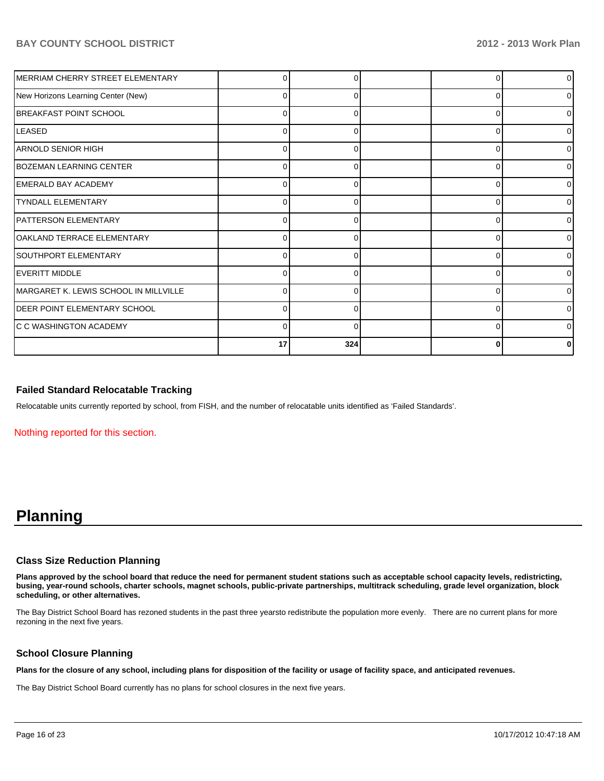| MERRIAM CHERRY STREET ELEMENTARY      |          |          |          | $\overline{0}$ |
|---------------------------------------|----------|----------|----------|----------------|
| New Horizons Learning Center (New)    | 0        | O        | 0        | 01             |
| <b>BREAKFAST POINT SCHOOL</b>         | ŋ        |          | $\Omega$ | 0              |
| <b>LEASED</b>                         | 0        | 0        | 0        | 0              |
| IARNOLD SENIOR HIGH                   | $\Omega$ | 0        | 0        | $\overline{0}$ |
| <b>BOZEMAN LEARNING CENTER</b>        | U        |          | U        | 0              |
| <b>EMERALD BAY ACADEMY</b>            | ŋ        |          | U        | οI             |
| <b>TYNDALL ELEMENTARY</b>             | $\Omega$ | 0        | 0        | $\Omega$       |
| <b>PATTERSON ELEMENTARY</b>           | ∩        |          | $\Omega$ | 0              |
| OAKLAND TERRACE ELEMENTARY            | ŋ        |          | U        | 0              |
| SOUTHPORT ELEMENTARY                  | $\Omega$ | 0        | 0        | 0              |
| EVERITT MIDDLE                        | ⋂        |          | n        | οI             |
| MARGARET K. LEWIS SCHOOL IN MILLVILLE | O        |          | C        | 01             |
| <b>DEER POINT ELEMENTARY SCHOOL</b>   | $\Omega$ | O        | $\Omega$ | 0              |
| <b>C C WASHINGTON ACADEMY</b>         | O        | $\Omega$ | n        | 0              |
|                                       | 17       | 324      | O        | n              |

#### **Failed Standard Relocatable Tracking**

Relocatable units currently reported by school, from FISH, and the number of relocatable units identified as 'Failed Standards'.

Nothing reported for this section.

# **Planning**

#### **Class Size Reduction Planning**

**Plans approved by the school board that reduce the need for permanent student stations such as acceptable school capacity levels, redistricting, busing, year-round schools, charter schools, magnet schools, public-private partnerships, multitrack scheduling, grade level organization, block scheduling, or other alternatives.**

The Bay District School Board has rezoned students in the past three yearsto redistribute the population more evenly. There are no current plans for more rezoning in the next five years.

#### **School Closure Planning**

**Plans for the closure of any school, including plans for disposition of the facility or usage of facility space, and anticipated revenues.**

The Bay District School Board currently has no plans for school closures in the next five years.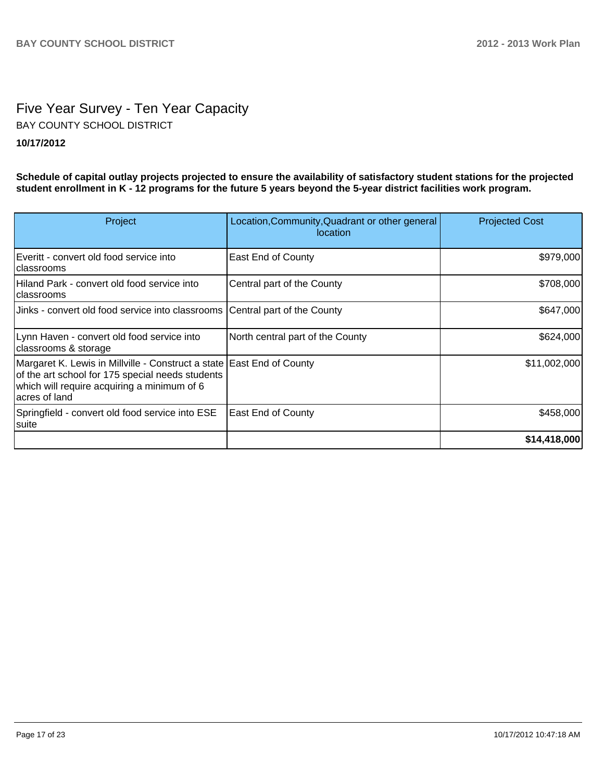# Five Year Survey - Ten Year Capacity **10/17/2012** BAY COUNTY SCHOOL DISTRICT

**Schedule of capital outlay projects projected to ensure the availability of satisfactory student stations for the projected student enrollment in K - 12 programs for the future 5 years beyond the 5-year district facilities work program.**

| Project                                                                                                                                                                                   | Location, Community, Quadrant or other general<br>location | <b>Projected Cost</b> |
|-------------------------------------------------------------------------------------------------------------------------------------------------------------------------------------------|------------------------------------------------------------|-----------------------|
| Everitt - convert old food service into<br>Iclassrooms                                                                                                                                    | <b>East End of County</b>                                  | \$979,000             |
| Hiland Park - convert old food service into<br>Iclassrooms                                                                                                                                | Central part of the County                                 | \$708,000             |
| Jinks - convert old food service into classrooms Central part of the County                                                                                                               |                                                            | \$647,000             |
| Lynn Haven - convert old food service into<br>classrooms & storage                                                                                                                        | North central part of the County                           | \$624,000             |
| Margaret K. Lewis in Millville - Construct a state East End of County<br>of the art school for 175 special needs students<br>which will require acquiring a minimum of 6<br>acres of land |                                                            | \$11,002,000          |
| Springfield - convert old food service into ESE<br> suite                                                                                                                                 | <b>East End of County</b>                                  | \$458,000             |
|                                                                                                                                                                                           |                                                            | \$14,418,000          |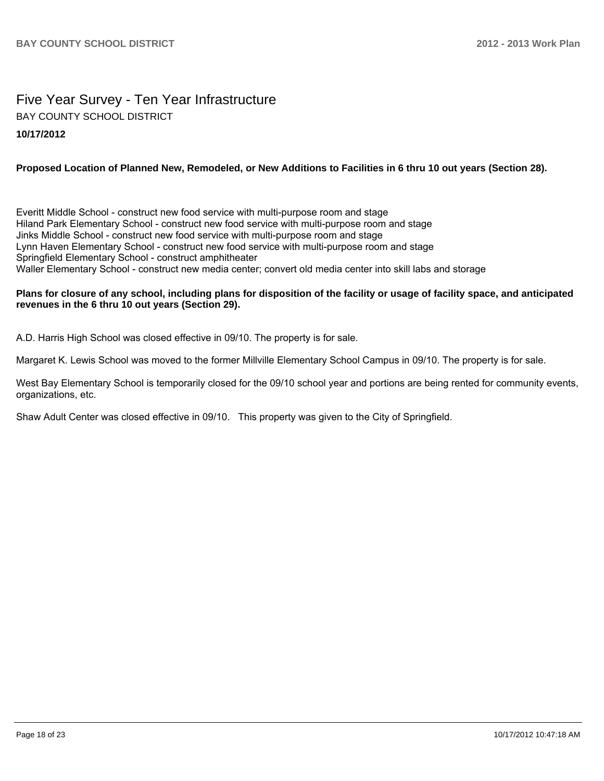# Five Year Survey - Ten Year Infrastructure **10/17/2012** BAY COUNTY SCHOOL DISTRICT

#### **Proposed Location of Planned New, Remodeled, or New Additions to Facilities in 6 thru 10 out years (Section 28).**

Everitt Middle School - construct new food service with multi-purpose room and stage Hiland Park Elementary School - construct new food service with multi-purpose room and stage Jinks Middle School - construct new food service with multi-purpose room and stage Lynn Haven Elementary School - construct new food service with multi-purpose room and stage Springfield Elementary School - construct amphitheater Waller Elementary School - construct new media center; convert old media center into skill labs and storage

#### **Plans for closure of any school, including plans for disposition of the facility or usage of facility space, and anticipated revenues in the 6 thru 10 out years (Section 29).**

A.D. Harris High School was closed effective in 09/10. The property is for sale.

Margaret K. Lewis School was moved to the former Millville Elementary School Campus in 09/10. The property is for sale.

West Bay Elementary School is temporarily closed for the 09/10 school year and portions are being rented for community events. organizations, etc.

Shaw Adult Center was closed effective in 09/10. This property was given to the City of Springfield.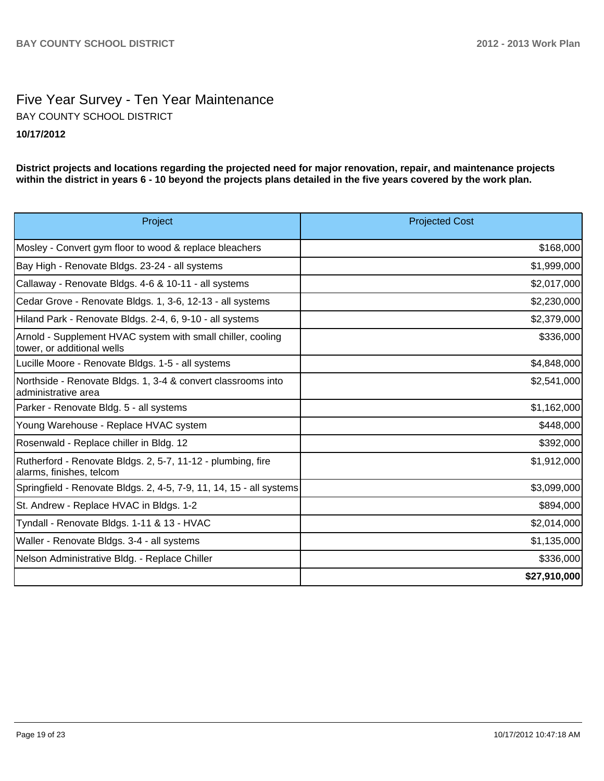# Five Year Survey - Ten Year Maintenance **10/17/2012** BAY COUNTY SCHOOL DISTRICT

**District projects and locations regarding the projected need for major renovation, repair, and maintenance projects within the district in years 6 - 10 beyond the projects plans detailed in the five years covered by the work plan.**

| Project                                                                                   | <b>Projected Cost</b> |
|-------------------------------------------------------------------------------------------|-----------------------|
| Mosley - Convert gym floor to wood & replace bleachers                                    | \$168,000             |
| Bay High - Renovate Bldgs. 23-24 - all systems                                            | \$1,999,000           |
| Callaway - Renovate Bldgs. 4-6 & 10-11 - all systems                                      | \$2,017,000           |
| Cedar Grove - Renovate Bldgs. 1, 3-6, 12-13 - all systems                                 | \$2,230,000           |
| Hiland Park - Renovate Bldgs. 2-4, 6, 9-10 - all systems                                  | \$2,379,000           |
| Arnold - Supplement HVAC system with small chiller, cooling<br>tower, or additional wells | \$336,000             |
| Lucille Moore - Renovate Bldgs. 1-5 - all systems                                         | \$4,848,000           |
| Northside - Renovate Bldgs. 1, 3-4 & convert classrooms into<br>ladministrative area      | \$2,541,000           |
| Parker - Renovate Bldg. 5 - all systems                                                   | \$1,162,000           |
| Young Warehouse - Replace HVAC system                                                     | \$448,000             |
| Rosenwald - Replace chiller in Bldg. 12                                                   | \$392,000             |
| Rutherford - Renovate Bldgs. 2, 5-7, 11-12 - plumbing, fire<br>alarms, finishes, telcom   | \$1,912,000           |
| Springfield - Renovate Bldgs. 2, 4-5, 7-9, 11, 14, 15 - all systems                       | \$3,099,000           |
| St. Andrew - Replace HVAC in Bldgs. 1-2                                                   | \$894,000             |
| Tyndall - Renovate Bldgs. 1-11 & 13 - HVAC                                                | \$2,014,000           |
| Waller - Renovate Bldgs. 3-4 - all systems                                                | \$1,135,000           |
| Nelson Administrative Bldg. - Replace Chiller                                             | \$336,000             |
|                                                                                           | \$27,910,000          |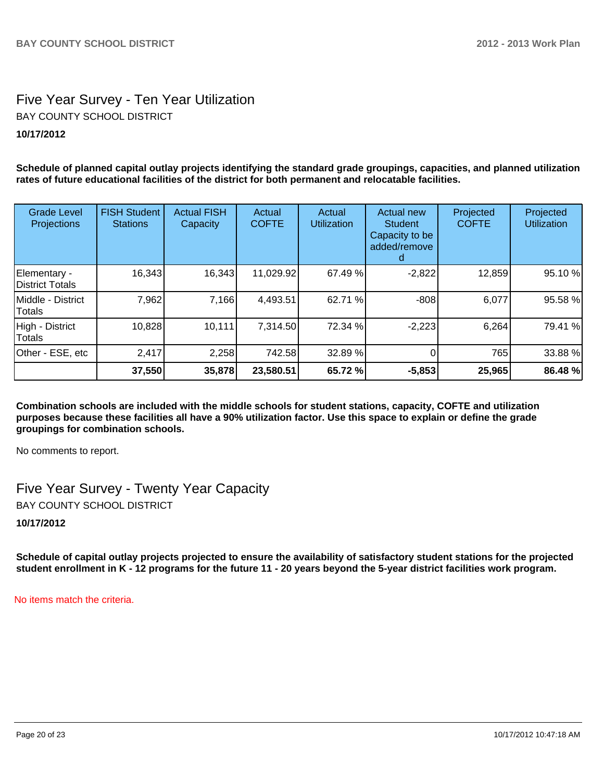# Five Year Survey - Ten Year Utilization **10/17/2012** BAY COUNTY SCHOOL DISTRICT

**Schedule of planned capital outlay projects identifying the standard grade groupings, capacities, and planned utilization rates of future educational facilities of the district for both permanent and relocatable facilities.**

#### Other - ESE, etc | 2,417 | 2,258 742.58 32.89 % | 0 765 765 33.88 % High - District Totals 10,828 10,111 7,314.50 72.34 % -2,223 6,264 79.41 % Middle - District **Totals** 7,962| 7,166| 4,493.51| 62.71 %| -808| 6,077| 95.58 % Elementary - District Totals 16,343 16,343 11,029.92 67.49 % -2,822 12,859 95.10 % **37,550 35,878 23,580.51 65.72 % -5,853 25,965 86.48 %** Grade Level **Projections** FISH Student **Stations** Actual FISH **Capacity** Actual **COFTE** Actual Utilization Actual new **Student** Capacity to be added/remove d Projected **COFTE** Projected **Utilization**

**Combination schools are included with the middle schools for student stations, capacity, COFTE and utilization purposes because these facilities all have a 90% utilization factor. Use this space to explain or define the grade groupings for combination schools.**

No comments to report.

Five Year Survey - Twenty Year Capacity BAY COUNTY SCHOOL DISTRICT

**10/17/2012**

**Schedule of capital outlay projects projected to ensure the availability of satisfactory student stations for the projected student enrollment in K - 12 programs for the future 11 - 20 years beyond the 5-year district facilities work program.**

No items match the criteria.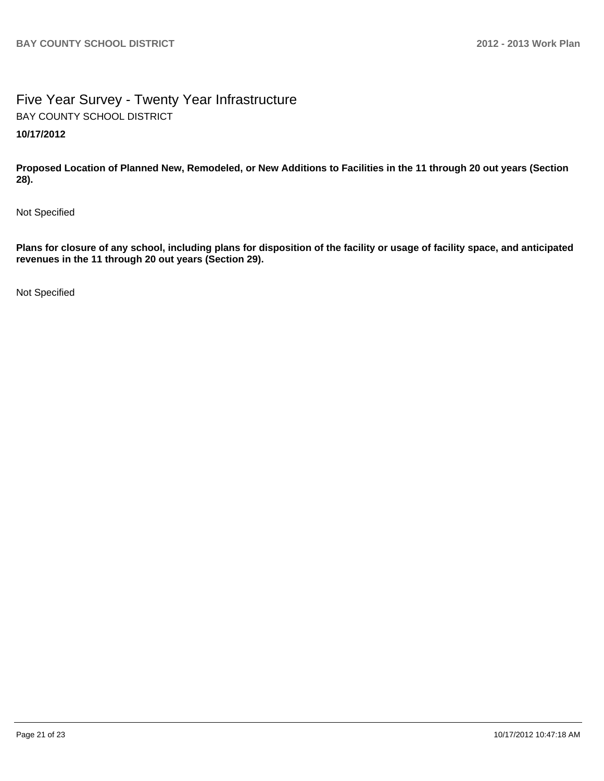# Five Year Survey - Twenty Year Infrastructure **10/17/2012** BAY COUNTY SCHOOL DISTRICT

**Proposed Location of Planned New, Remodeled, or New Additions to Facilities in the 11 through 20 out years (Section 28).**

Not Specified

**Plans for closure of any school, including plans for disposition of the facility or usage of facility space, and anticipated revenues in the 11 through 20 out years (Section 29).**

Not Specified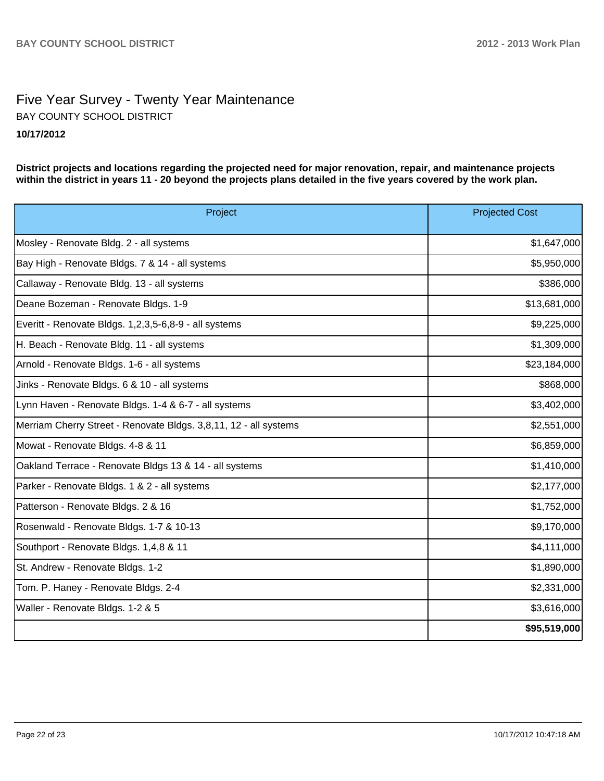# Five Year Survey - Twenty Year Maintenance **10/17/2012** BAY COUNTY SCHOOL DISTRICT

**District projects and locations regarding the projected need for major renovation, repair, and maintenance projects within the district in years 11 - 20 beyond the projects plans detailed in the five years covered by the work plan.**

| Project                                                          | <b>Projected Cost</b> |
|------------------------------------------------------------------|-----------------------|
| Mosley - Renovate Bldg. 2 - all systems                          | \$1,647,000           |
| Bay High - Renovate Bldgs. 7 & 14 - all systems                  | \$5,950,000           |
| Callaway - Renovate Bldg. 13 - all systems                       | \$386,000             |
| Deane Bozeman - Renovate Bldgs. 1-9                              | \$13,681,000          |
| Everitt - Renovate Bldgs. 1,2,3,5-6,8-9 - all systems            | \$9,225,000           |
| H. Beach - Renovate Bldg. 11 - all systems                       | \$1,309,000           |
| Arnold - Renovate Bldgs. 1-6 - all systems                       | \$23,184,000          |
| Jinks - Renovate Bldgs. 6 & 10 - all systems                     | \$868,000             |
| Lynn Haven - Renovate Bldgs. 1-4 & 6-7 - all systems             | \$3,402,000           |
| Merriam Cherry Street - Renovate Bldgs. 3,8,11, 12 - all systems | \$2,551,000           |
| Mowat - Renovate Bldgs. 4-8 & 11                                 | \$6,859,000           |
| Oakland Terrace - Renovate Bldgs 13 & 14 - all systems           | \$1,410,000           |
| Parker - Renovate Bldgs. 1 & 2 - all systems                     | \$2,177,000           |
| Patterson - Renovate Bldgs. 2 & 16                               | \$1,752,000           |
| Rosenwald - Renovate Bldgs. 1-7 & 10-13                          | \$9,170,000           |
| Southport - Renovate Bldgs. 1,4,8 & 11                           | \$4,111,000           |
| St. Andrew - Renovate Bldgs. 1-2                                 | \$1,890,000           |
| Tom. P. Haney - Renovate Bldgs. 2-4                              | \$2,331,000           |
| Waller - Renovate Bldgs. 1-2 & 5                                 | \$3,616,000           |
|                                                                  | \$95,519,000          |